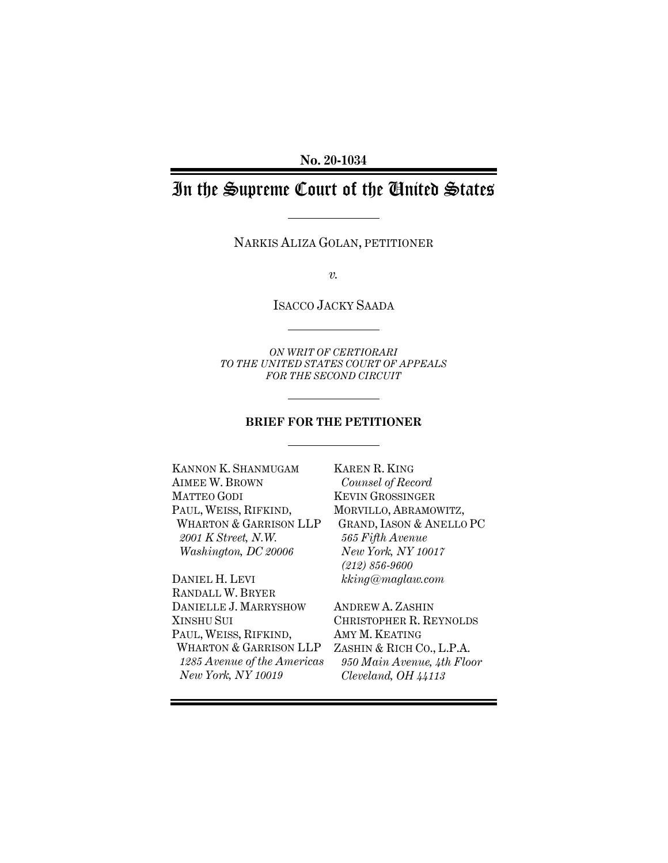**No. 20-1034** 

# In the Supreme Court of the United States

NARKIS ALIZA GOLAN, PETITIONER

*v.* 

ISACCO JACKY SAADA

*ON WRIT OF CERTIORARI TO THE UNITED STATES COURT OF APPEALS FOR THE SECOND CIRCUIT* 

# **BRIEF FOR THE PETITIONER**

KANNON K. SHANMUGAM AIMEE W. BROWN MATTEO GODI PAUL, WEISS, RIFKIND, WHARTON & GARRISON LLP *2001 K Street, N.W. Washington, DC 20006*

DANIEL H. LEVI RANDALL W. BRYER DANIELLE J. MARRYSHOW XINSHU SUI PAUL, WEISS, RIFKIND, WHARTON & GARRISON LLP *1285 Avenue of the Americas New York, NY 10019* 

KAREN R. KING *Counsel of Record*  KEVIN GROSSINGER MORVILLO, ABRAMOWITZ, GRAND, IASON & ANELLO PC *565 Fifth Avenue New York, NY 10017 (212) 856-9600 kking@maglaw.com* 

ANDREW A. ZASHIN CHRISTOPHER R. REYNOLDS AMY M. KEATING ZASHIN & RICH CO., L.P.A. *950 Main Avenue, 4th Floor Cleveland, OH 44113*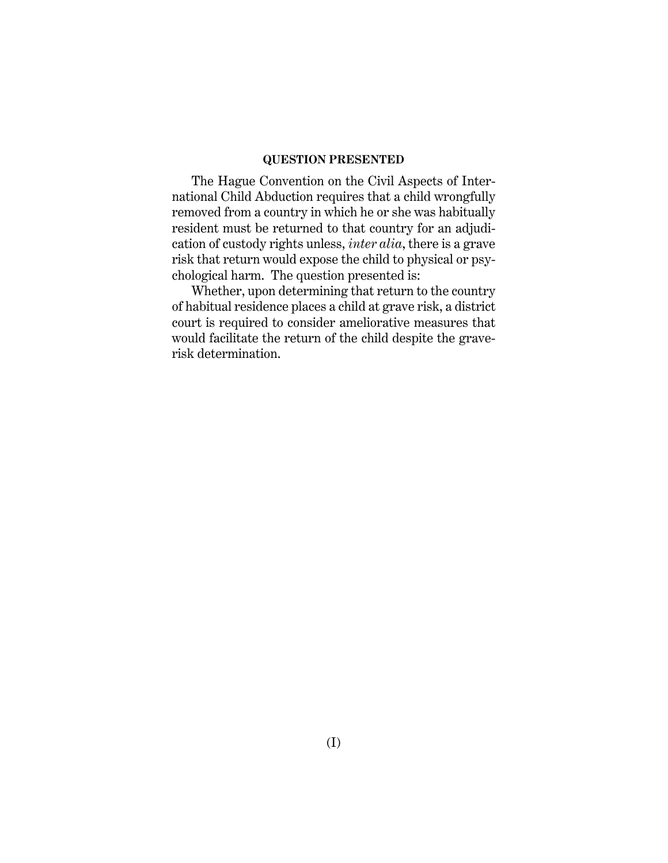# **QUESTION PRESENTED**

The Hague Convention on the Civil Aspects of International Child Abduction requires that a child wrongfully removed from a country in which he or she was habitually resident must be returned to that country for an adjudication of custody rights unless, *inter alia*, there is a grave risk that return would expose the child to physical or psychological harm. The question presented is:

Whether, upon determining that return to the country of habitual residence places a child at grave risk, a district court is required to consider ameliorative measures that would facilitate the return of the child despite the graverisk determination.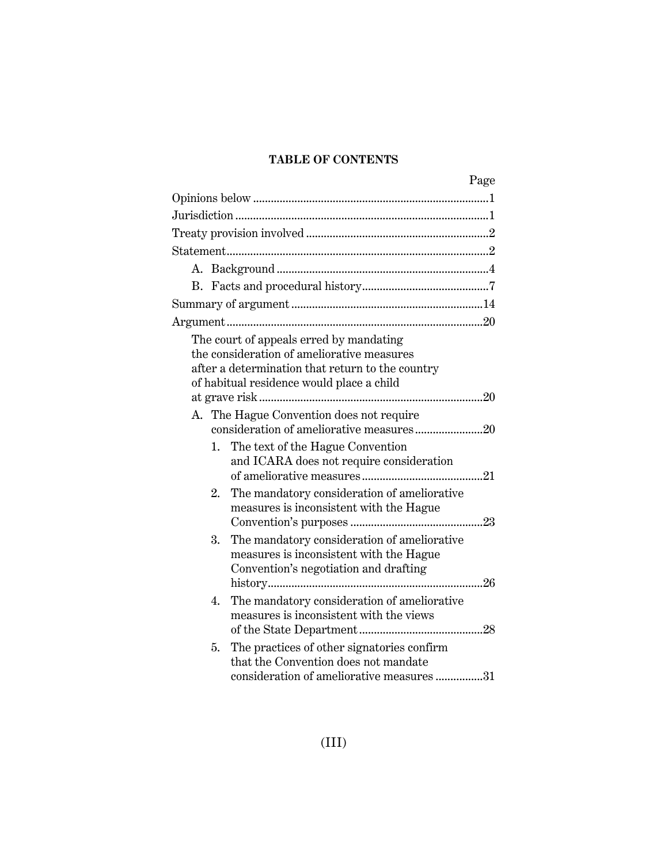# **TABLE OF CONTENTS**

| Page                                                                                                                                                                                   |
|----------------------------------------------------------------------------------------------------------------------------------------------------------------------------------------|
|                                                                                                                                                                                        |
|                                                                                                                                                                                        |
|                                                                                                                                                                                        |
|                                                                                                                                                                                        |
|                                                                                                                                                                                        |
|                                                                                                                                                                                        |
|                                                                                                                                                                                        |
|                                                                                                                                                                                        |
| The court of appeals erred by mandating<br>the consideration of ameliorative measures<br>after a determination that return to the country<br>of habitual residence would place a child |
|                                                                                                                                                                                        |
| A. The Hague Convention does not require<br>consideration of ameliorative measures20                                                                                                   |
| The text of the Hague Convention<br>1.<br>and ICARA does not require consideration                                                                                                     |
| 2.<br>The mandatory consideration of ameliorative<br>measures is inconsistent with the Hague                                                                                           |
| The mandatory consideration of ameliorative<br>3.<br>measures is inconsistent with the Hague<br>Convention's negotiation and drafting                                                  |
| The mandatory consideration of ameliorative<br>4.<br>measures is inconsistent with the views                                                                                           |
| The practices of other signatories confirm<br>5.<br>that the Convention does not mandate<br>consideration of ameliorative measures 31                                                  |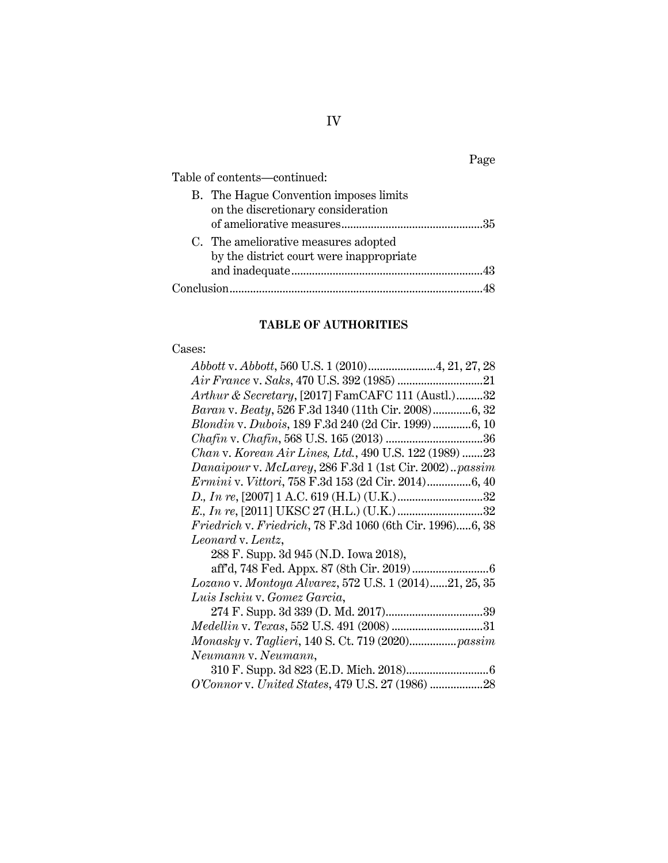|                                                                                  | Page |
|----------------------------------------------------------------------------------|------|
| Table of contents-continued:                                                     |      |
| B. The Hague Convention imposes limits<br>on the discretionary consideration     |      |
| C. The ameliorative measures adopted<br>by the district court were inappropriate |      |
|                                                                                  |      |

# **TABLE OF AUTHORITIES**

# Cases:

| Arthur & Secretary, [2017] FamCAFC 111 (Austl.)32         |
|-----------------------------------------------------------|
| Baran v. Beaty, 526 F.3d 1340 (11th Cir. 2008)6, 32       |
| Blondin v. Dubois, 189 F.3d 240 (2d Cir. 1999)6, 10       |
|                                                           |
| Chan v. Korean Air Lines, Ltd., 490 U.S. 122 (1989) 23    |
| Danaipour v. McLarey, 286 F.3d 1 (1st Cir. 2002)passim    |
| Ermini v. Vittori, 758 F.3d 153 (2d Cir. 2014)6, 40       |
|                                                           |
|                                                           |
| Friedrich v. Friedrich, 78 F.3d 1060 (6th Cir. 1996)6, 38 |
| Leonard v. Lentz,                                         |
| 288 F. Supp. 3d 945 (N.D. Iowa 2018),                     |
|                                                           |
| Lozano v. Montoya Alvarez, 572 U.S. 1 (2014)21, 25, 35    |
| Luis Ischiu v. Gomez Garcia,                              |
|                                                           |
| Medellin v. Texas, 552 U.S. 491 (2008) 31                 |
|                                                           |
| Neumann v. Neumann,                                       |
|                                                           |
| O'Connor v. United States, 479 U.S. 27 (1986) 28          |

IV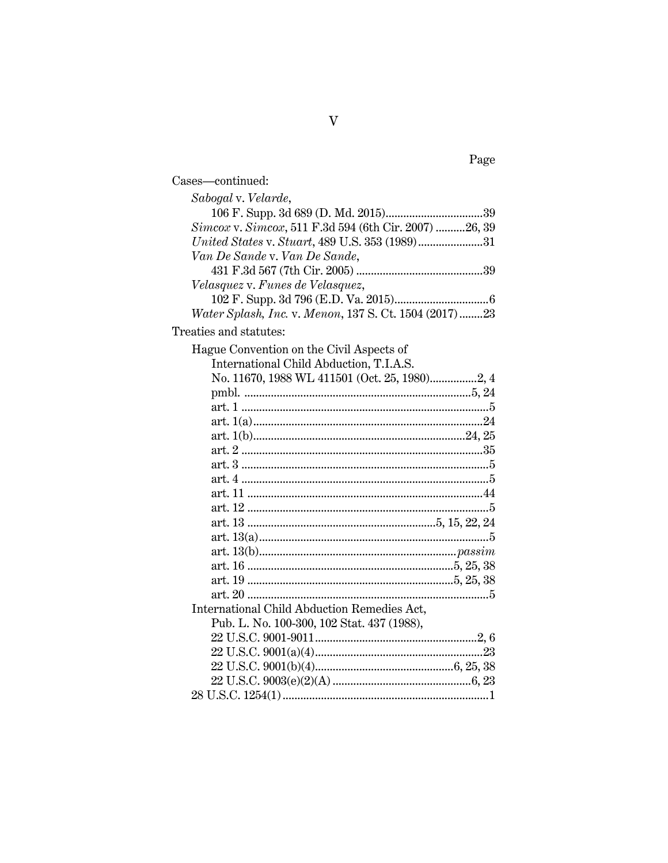| Cases—continued:                                      |
|-------------------------------------------------------|
| Sabogal v. Velarde,                                   |
|                                                       |
| Simcox v. Simcox, 511 F.3d 594 (6th Cir. 2007) 26, 39 |
|                                                       |
| Van De Sande v. Van De Sande,                         |
|                                                       |
| Velasquez v. Funes de Velasquez,                      |
|                                                       |
| Water Splash, Inc. v. Menon, 137 S. Ct. 1504 (2017)23 |

Treaties and statutes:

| Hague Convention on the Civil Aspects of    |
|---------------------------------------------|
| International Child Abduction, T.I.A.S.     |
|                                             |
|                                             |
|                                             |
|                                             |
|                                             |
|                                             |
|                                             |
|                                             |
|                                             |
|                                             |
|                                             |
|                                             |
|                                             |
|                                             |
|                                             |
|                                             |
| International Child Abduction Remedies Act, |
| Pub. L. No. 100-300, 102 Stat. 437 (1988),  |
|                                             |
|                                             |
|                                             |
|                                             |
|                                             |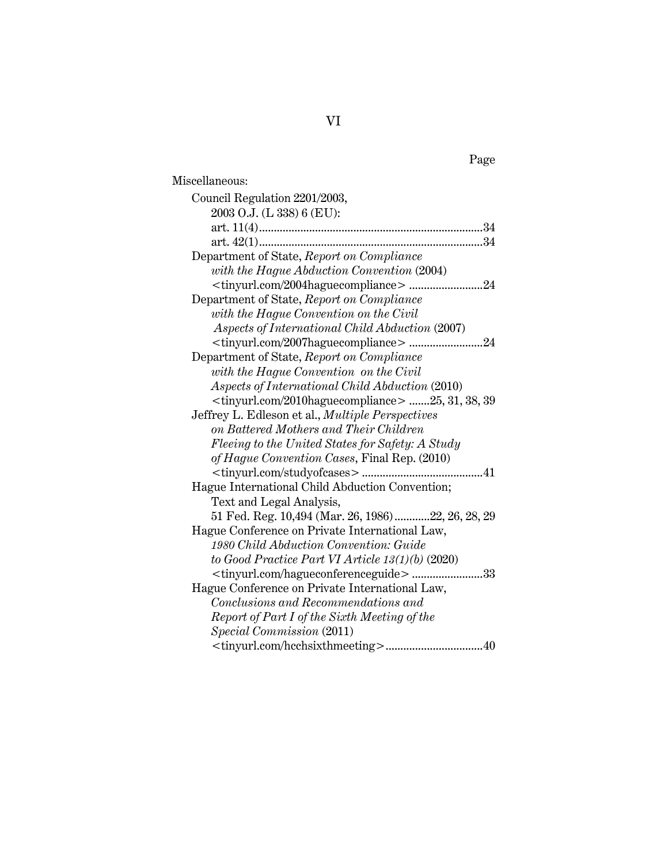| Miscellaneous:                                                                           |
|------------------------------------------------------------------------------------------|
| Council Regulation 2201/2003,                                                            |
| 2003 O.J. (L 338) 6 (EU):                                                                |
|                                                                                          |
|                                                                                          |
| Department of State, Report on Compliance                                                |
| with the Hague Abduction Convention (2004)                                               |
|                                                                                          |
| Department of State, Report on Compliance                                                |
| with the Hague Convention on the Civil                                                   |
| Aspects of International Child Abduction (2007)                                          |
| <tinyurl.com 2007haguecompliance="">24</tinyurl.com>                                     |
| Department of State, Report on Compliance                                                |
| with the Hague Convention on the Civil                                                   |
| Aspects of International Child Abduction (2010)                                          |
| <tinyurl.com 2010haguecompliance=""> 25, 31, 38, 39</tinyurl.com>                        |
| Jeffrey L. Edleson et al., <i>Multiple Perspectives</i>                                  |
| on Battered Mothers and Their Children                                                   |
| Fleeing to the United States for Safety: A Study                                         |
| of Hague Convention Cases, Final Rep. (2010)                                             |
|                                                                                          |
| Hague International Child Abduction Convention;                                          |
| Text and Legal Analysis,                                                                 |
| 51 Fed. Reg. 10,494 (Mar. 26, 1986)22, 26, 28, 29                                        |
| Hague Conference on Private International Law,<br>1980 Child Abduction Convention: Guide |
| to Good Practice Part VI Article $13(1)(b)$ (2020)                                       |
| <tinyurl.com hagueconferenceguide="">33</tinyurl.com>                                    |
| Hague Conference on Private International Law,                                           |
| Conclusions and Recommendations and                                                      |
| Report of Part I of the Sixth Meeting of the                                             |
| Special Commission (2011)                                                                |
|                                                                                          |
|                                                                                          |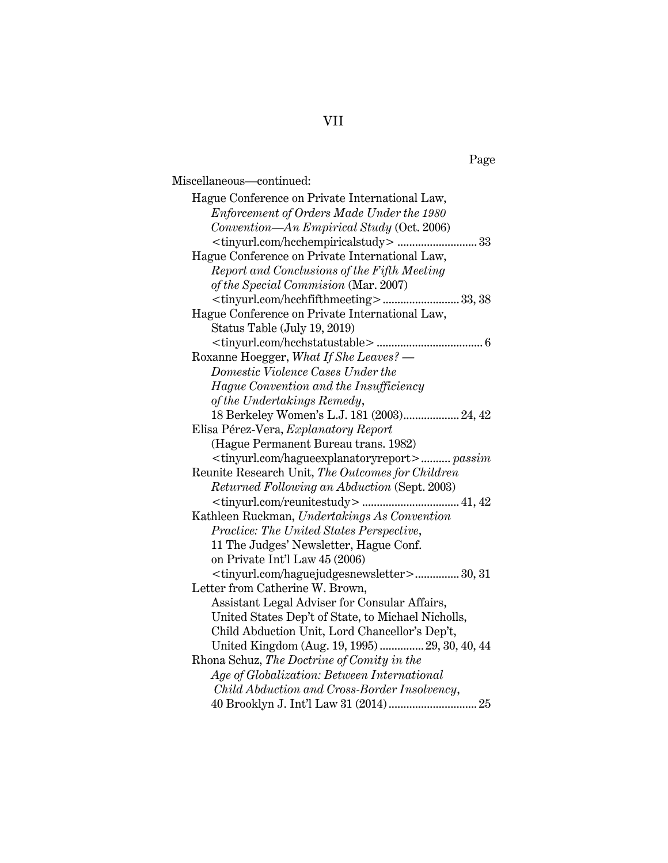### Page

Miscellaneous—continued: Hague Conference on Private International Law, *Enforcement of Orders Made Under the 1980 Convention—An Empirical Study* (Oct. 2006) <tinyurl.com/hcchempiricalstudy> ........................... 33 Hague Conference on Private International Law, *Report and Conclusions of the Fifth Meeting of the Special Commision* (Mar. 2007) <tinyurl.com/hcchfifthmeeting> .......................... 33, 38 Hague Conference on Private International Law, Status Table (July 19, 2019) <tinyurl.com/hcchstatustable> .................................... 6 Roxanne Hoegger, *What If She Leaves? — Domestic Violence Cases Under the Hague Convention and the Insufficiency of the Undertakings Remedy*, 18 Berkeley Women's L.J. 181 (2003) ................... 24, 42 Elisa Pérez-Vera, *Explanatory Report* (Hague Permanent Bureau trans. 1982) <tinyurl.com/hagueexplanatoryreport> .......... *passim* Reunite Research Unit, *The Outcomes for Children Returned Following an Abduction* (Sept. 2003) <tinyurl.com/reunitestudy> ................................. 41, 42 Kathleen Ruckman, *Undertakings As Convention Practice: The United States Perspective*, 11 The Judges' Newsletter, Hague Conf. on Private Int'l Law 45 (2006) <tinyurl.com/haguejudgesnewsletter> ............... 30, 31 Letter from Catherine W. Brown, Assistant Legal Adviser for Consular Affairs, United States Dep't of State, to Michael Nicholls, Child Abduction Unit, Lord Chancellor's Dep't, United Kingdom (Aug. 19, 1995) ............... 29, 30, 40, 44 Rhona Schuz, *The Doctrine of Comity in the Age of Globalization: Between International Child Abduction and Cross-Border Insolvency*, 40 Brooklyn J. Int'l Law 31 (2014) .............................. 25

# VII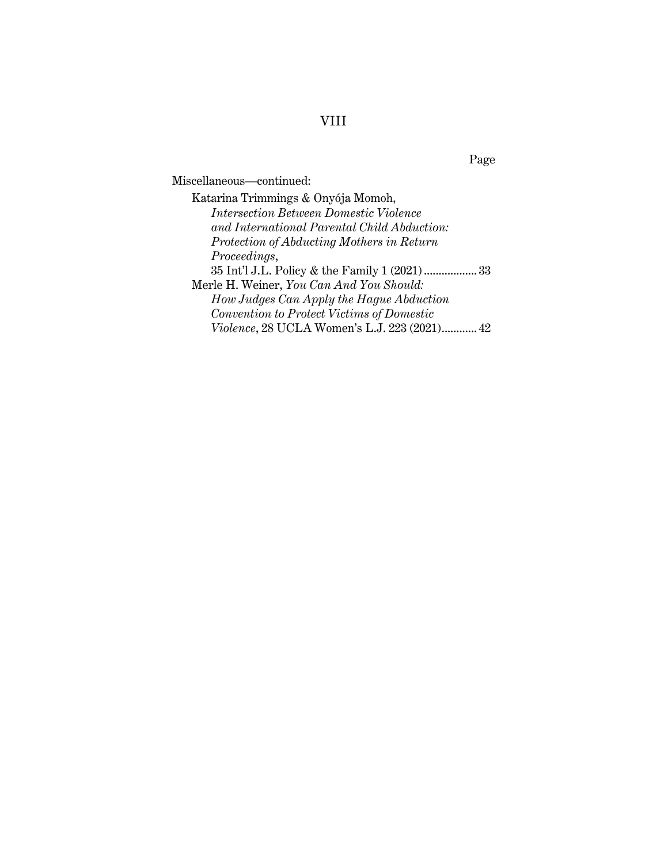# VIII

Page

Miscellaneous—continued:

Katarina Trimmings & Onyója Momoh, *Intersection Between Domestic Violence and International Parental Child Abduction: Protection of Abducting Mothers in Return Proceedings*, 35 Int'l J.L. Policy & the Family 1 (2021) .................. 33 Merle H. Weiner, *You Can And You Should: How Judges Can Apply the Hague Abduction Convention to Protect Victims of Domestic Violence*, 28 UCLA Women's L.J. 223 (2021) ............ 42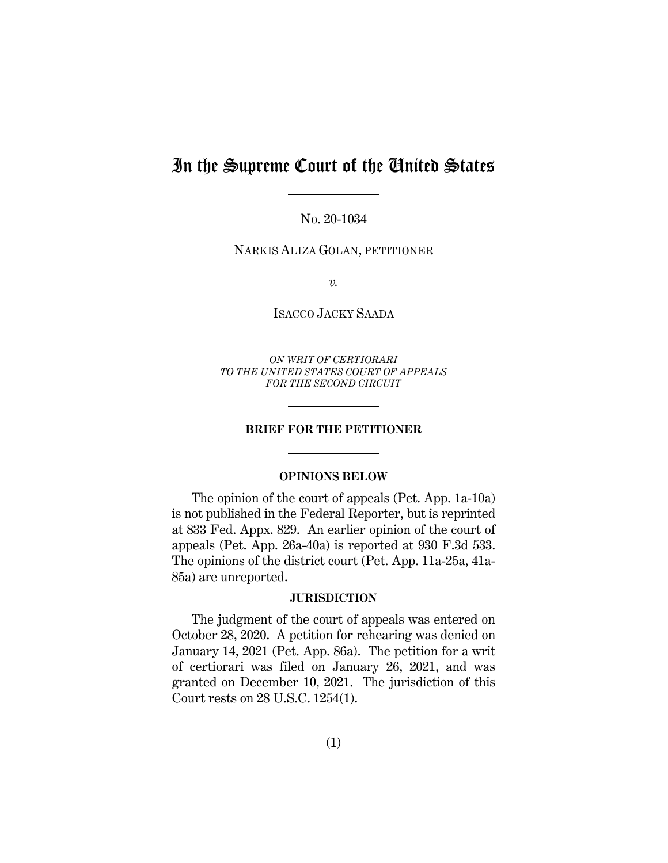# In the Supreme Court of the United States

No. 20-1034

NARKIS ALIZA GOLAN, PETITIONER

*v.* 

ISACCO JACKY SAADA

*ON WRIT OF CERTIORARI TO THE UNITED STATES COURT OF APPEALS FOR THE SECOND CIRCUIT* 

#### **BRIEF FOR THE PETITIONER**

### **OPINIONS BELOW**

The opinion of the court of appeals (Pet. App. 1a-10a) is not published in the Federal Reporter, but is reprinted at 833 Fed. Appx. 829. An earlier opinion of the court of appeals (Pet. App. 26a-40a) is reported at 930 F.3d 533. The opinions of the district court (Pet. App. 11a-25a, 41a-85a) are unreported.

#### **JURISDICTION**

The judgment of the court of appeals was entered on October 28, 2020. A petition for rehearing was denied on January 14, 2021 (Pet. App. 86a). The petition for a writ of certiorari was filed on January 26, 2021, and was granted on December 10, 2021. The jurisdiction of this Court rests on 28 U.S.C. 1254(1).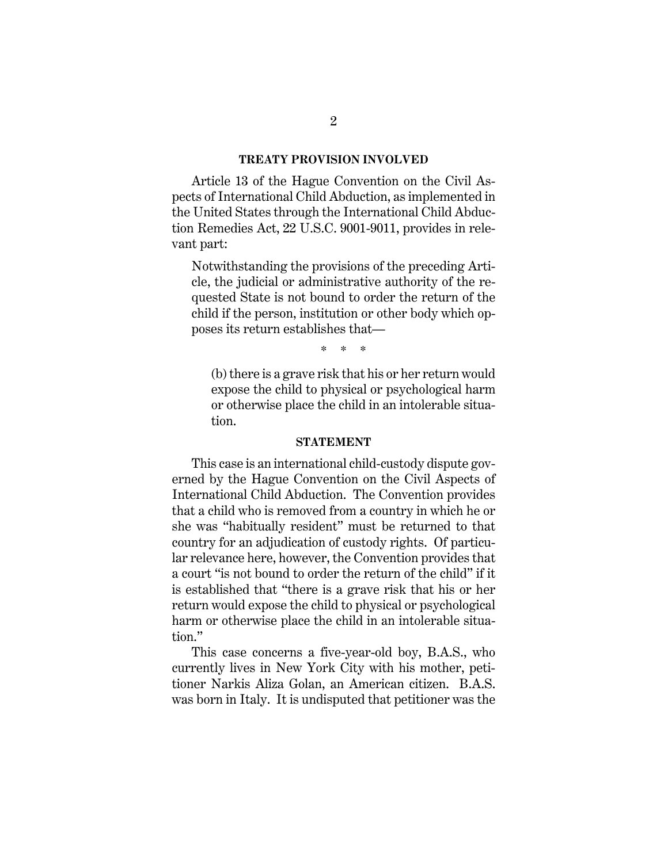#### **TREATY PROVISION INVOLVED**

Article 13 of the Hague Convention on the Civil Aspects of International Child Abduction, as implemented in the United States through the International Child Abduction Remedies Act, 22 U.S.C. 9001-9011, provides in relevant part:

Notwithstanding the provisions of the preceding Article, the judicial or administrative authority of the requested State is not bound to order the return of the child if the person, institution or other body which opposes its return establishes that—

\* \* \*

(b) there is a grave risk that his or her return would expose the child to physical or psychological harm or otherwise place the child in an intolerable situation.

#### **STATEMENT**

This case is an international child-custody dispute governed by the Hague Convention on the Civil Aspects of International Child Abduction. The Convention provides that a child who is removed from a country in which he or she was "habitually resident" must be returned to that country for an adjudication of custody rights. Of particular relevance here, however, the Convention provides that a court "is not bound to order the return of the child" if it is established that "there is a grave risk that his or her return would expose the child to physical or psychological harm or otherwise place the child in an intolerable situation."

This case concerns a five-year-old boy, B.A.S., who currently lives in New York City with his mother, petitioner Narkis Aliza Golan, an American citizen. B.A.S. was born in Italy. It is undisputed that petitioner was the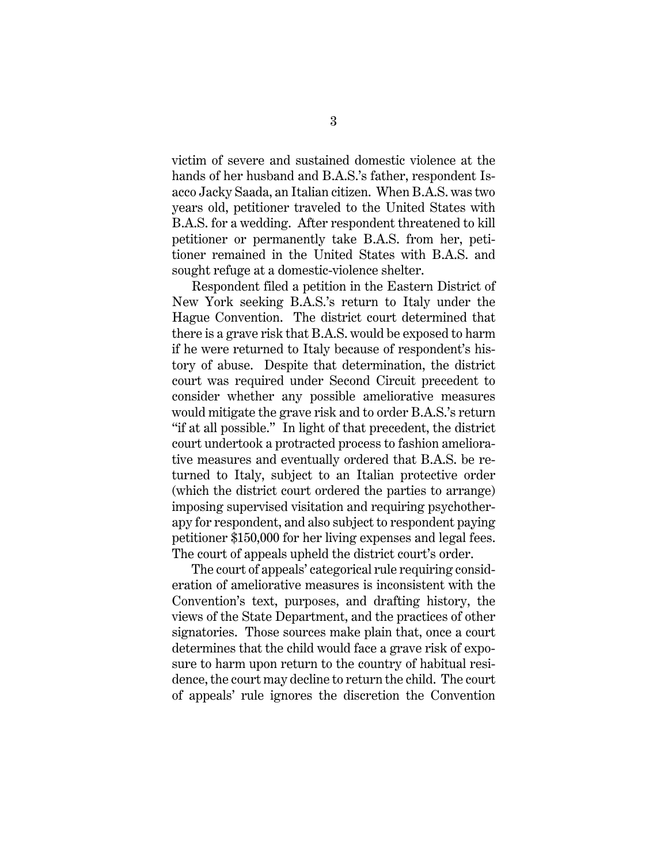victim of severe and sustained domestic violence at the hands of her husband and B.A.S.'s father, respondent Isacco Jacky Saada, an Italian citizen. When B.A.S. was two years old, petitioner traveled to the United States with B.A.S. for a wedding. After respondent threatened to kill petitioner or permanently take B.A.S. from her, petitioner remained in the United States with B.A.S. and sought refuge at a domestic-violence shelter.

Respondent filed a petition in the Eastern District of New York seeking B.A.S.'s return to Italy under the Hague Convention. The district court determined that there is a grave risk that B.A.S. would be exposed to harm if he were returned to Italy because of respondent's history of abuse. Despite that determination, the district court was required under Second Circuit precedent to consider whether any possible ameliorative measures would mitigate the grave risk and to order B.A.S.'s return "if at all possible." In light of that precedent, the district court undertook a protracted process to fashion ameliorative measures and eventually ordered that B.A.S. be returned to Italy, subject to an Italian protective order (which the district court ordered the parties to arrange) imposing supervised visitation and requiring psychotherapy for respondent, and also subject to respondent paying petitioner \$150,000 for her living expenses and legal fees. The court of appeals upheld the district court's order.

The court of appeals' categorical rule requiring consideration of ameliorative measures is inconsistent with the Convention's text, purposes, and drafting history, the views of the State Department, and the practices of other signatories. Those sources make plain that, once a court determines that the child would face a grave risk of exposure to harm upon return to the country of habitual residence, the court may decline to return the child. The court of appeals' rule ignores the discretion the Convention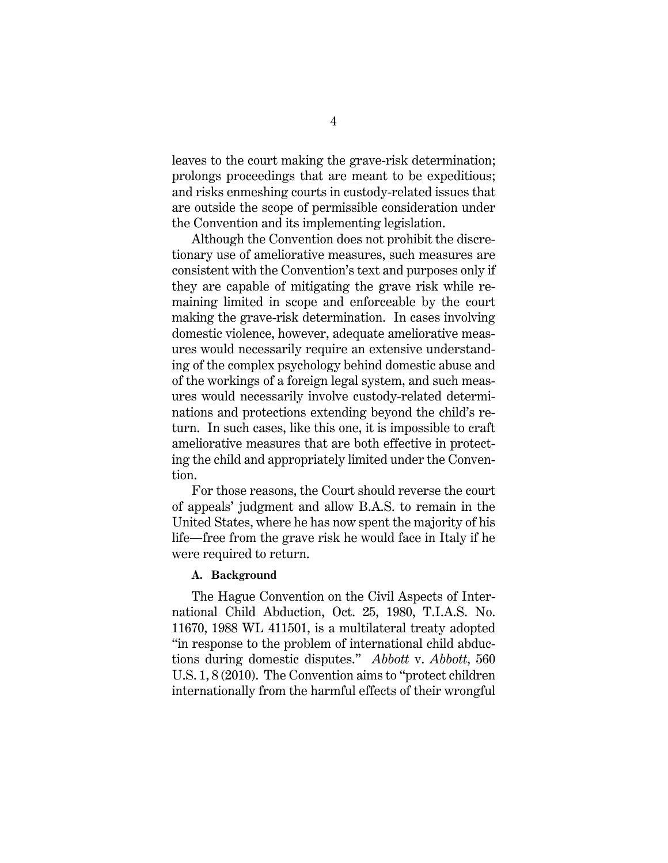leaves to the court making the grave-risk determination; prolongs proceedings that are meant to be expeditious; and risks enmeshing courts in custody-related issues that are outside the scope of permissible consideration under the Convention and its implementing legislation.

Although the Convention does not prohibit the discretionary use of ameliorative measures, such measures are consistent with the Convention's text and purposes only if they are capable of mitigating the grave risk while remaining limited in scope and enforceable by the court making the grave-risk determination. In cases involving domestic violence, however, adequate ameliorative measures would necessarily require an extensive understanding of the complex psychology behind domestic abuse and of the workings of a foreign legal system, and such measures would necessarily involve custody-related determinations and protections extending beyond the child's return. In such cases, like this one, it is impossible to craft ameliorative measures that are both effective in protecting the child and appropriately limited under the Convention.

For those reasons, the Court should reverse the court of appeals' judgment and allow B.A.S. to remain in the United States, where he has now spent the majority of his life―free from the grave risk he would face in Italy if he were required to return.

### **A. Background**

The Hague Convention on the Civil Aspects of International Child Abduction, Oct. 25, 1980, T.I.A.S. No. 11670, 1988 WL 411501, is a multilateral treaty adopted "in response to the problem of international child abductions during domestic disputes." *Abbott* v. *Abbott*, 560 U.S. 1, 8 (2010). The Convention aims to "protect children internationally from the harmful effects of their wrongful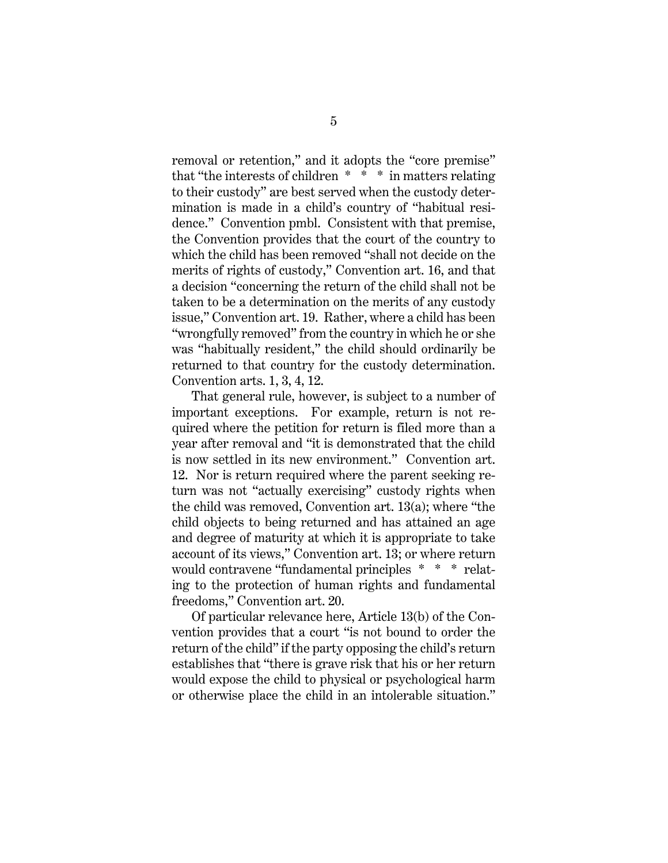removal or retention," and it adopts the "core premise" that "the interests of children \* \* \* in matters relating to their custody" are best served when the custody determination is made in a child's country of "habitual residence." Convention pmbl. Consistent with that premise, the Convention provides that the court of the country to which the child has been removed "shall not decide on the merits of rights of custody," Convention art. 16, and that a decision "concerning the return of the child shall not be taken to be a determination on the merits of any custody issue," Convention art. 19. Rather, where a child has been "wrongfully removed" from the country in which he or she was "habitually resident," the child should ordinarily be returned to that country for the custody determination. Convention arts. 1, 3, 4, 12.

That general rule, however, is subject to a number of important exceptions. For example, return is not required where the petition for return is filed more than a year after removal and "it is demonstrated that the child is now settled in its new environment." Convention art. 12. Nor is return required where the parent seeking return was not "actually exercising" custody rights when the child was removed, Convention art. 13(a); where "the child objects to being returned and has attained an age and degree of maturity at which it is appropriate to take account of its views," Convention art. 13; or where return would contravene "fundamental principles \* \* \* relating to the protection of human rights and fundamental freedoms," Convention art. 20.

Of particular relevance here, Article 13(b) of the Convention provides that a court "is not bound to order the return of the child" if the party opposing the child's return establishes that "there is grave risk that his or her return would expose the child to physical or psychological harm or otherwise place the child in an intolerable situation."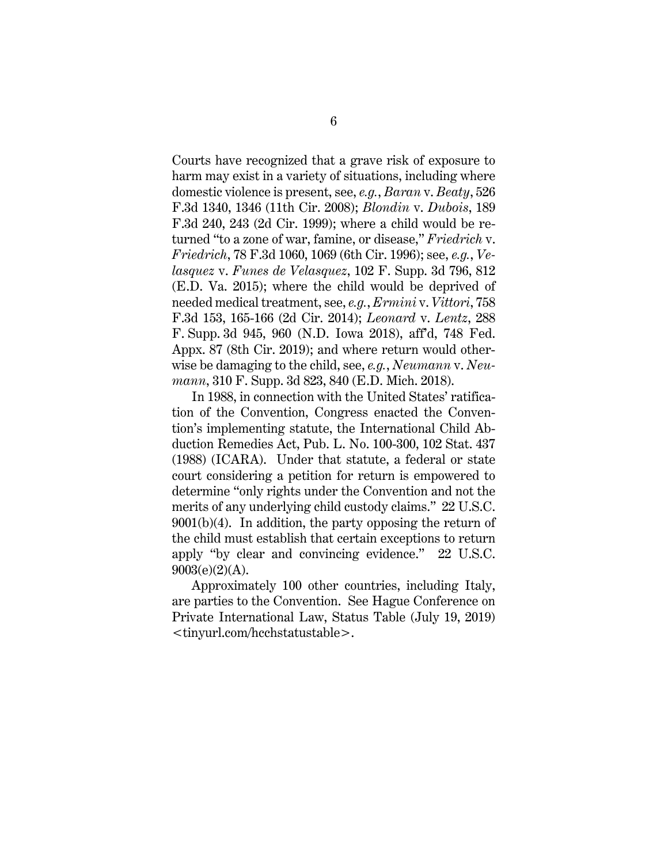Courts have recognized that a grave risk of exposure to harm may exist in a variety of situations, including where domestic violence is present, see, *e.g.*, *Baran* v. *Beaty*, 526 F.3d 1340, 1346 (11th Cir. 2008); *Blondin* v. *Dubois*, 189 F.3d 240, 243 (2d Cir. 1999); where a child would be returned "to a zone of war, famine, or disease," *Friedrich* v. *Friedrich*, 78 F.3d 1060, 1069 (6th Cir. 1996); see, *e.g.*, *Velasquez* v. *Funes de Velasquez*, 102 F. Supp. 3d 796, 812 (E.D. Va. 2015); where the child would be deprived of needed medical treatment, see, *e.g.*, *Ermini* v. *Vittori*, 758 F.3d 153, 165-166 (2d Cir. 2014); *Leonard* v. *Lentz*, 288 F. Supp. 3d 945, 960 (N.D. Iowa 2018), aff'd, 748 Fed. Appx. 87 (8th Cir. 2019); and where return would otherwise be damaging to the child, see, *e.g.*, *Neumann* v. *Neumann*, 310 F. Supp. 3d 823, 840 (E.D. Mich. 2018).

In 1988, in connection with the United States' ratification of the Convention, Congress enacted the Convention's implementing statute, the International Child Abduction Remedies Act, Pub. L. No. 100-300, 102 Stat. 437 (1988) (ICARA). Under that statute, a federal or state court considering a petition for return is empowered to determine "only rights under the Convention and not the merits of any underlying child custody claims." 22 U.S.C. 9001(b)(4). In addition, the party opposing the return of the child must establish that certain exceptions to return apply "by clear and convincing evidence." 22 U.S.C.  $9003(e)(2)(A)$ .

Approximately 100 other countries, including Italy, are parties to the Convention. See Hague Conference on Private International Law, Status Table (July 19, 2019) <tinyurl.com/hcchstatustable>.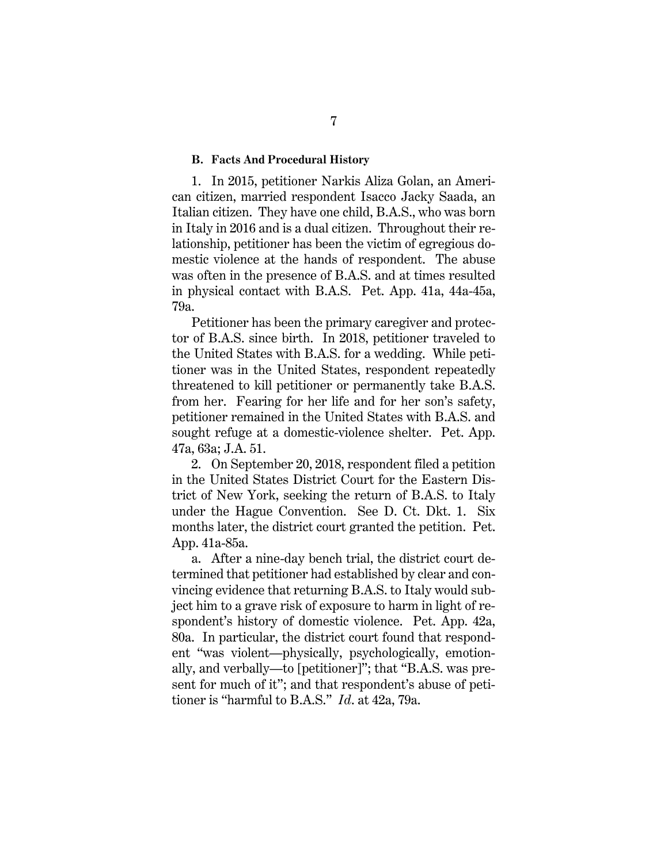#### **B. Facts And Procedural History**

1. In 2015, petitioner Narkis Aliza Golan, an American citizen, married respondent Isacco Jacky Saada, an Italian citizen. They have one child, B.A.S., who was born in Italy in 2016 and is a dual citizen. Throughout their relationship, petitioner has been the victim of egregious domestic violence at the hands of respondent. The abuse was often in the presence of B.A.S. and at times resulted in physical contact with B.A.S. Pet. App. 41a, 44a-45a, 79a.

Petitioner has been the primary caregiver and protector of B.A.S. since birth. In 2018, petitioner traveled to the United States with B.A.S. for a wedding. While petitioner was in the United States, respondent repeatedly threatened to kill petitioner or permanently take B.A.S. from her. Fearing for her life and for her son's safety, petitioner remained in the United States with B.A.S. and sought refuge at a domestic-violence shelter. Pet. App. 47a, 63a; J.A. 51.

2. On September 20, 2018, respondent filed a petition in the United States District Court for the Eastern District of New York, seeking the return of B.A.S. to Italy under the Hague Convention. See D. Ct. Dkt. 1. Six months later, the district court granted the petition. Pet. App. 41a-85a.

a. After a nine-day bench trial, the district court determined that petitioner had established by clear and convincing evidence that returning B.A.S. to Italy would subject him to a grave risk of exposure to harm in light of respondent's history of domestic violence. Pet. App. 42a, 80a. In particular, the district court found that respondent "was violent—physically, psychologically, emotionally, and verbally—to [petitioner]"; that "B.A.S. was present for much of it"; and that respondent's abuse of petitioner is "harmful to B.A.S." *Id*. at 42a, 79a.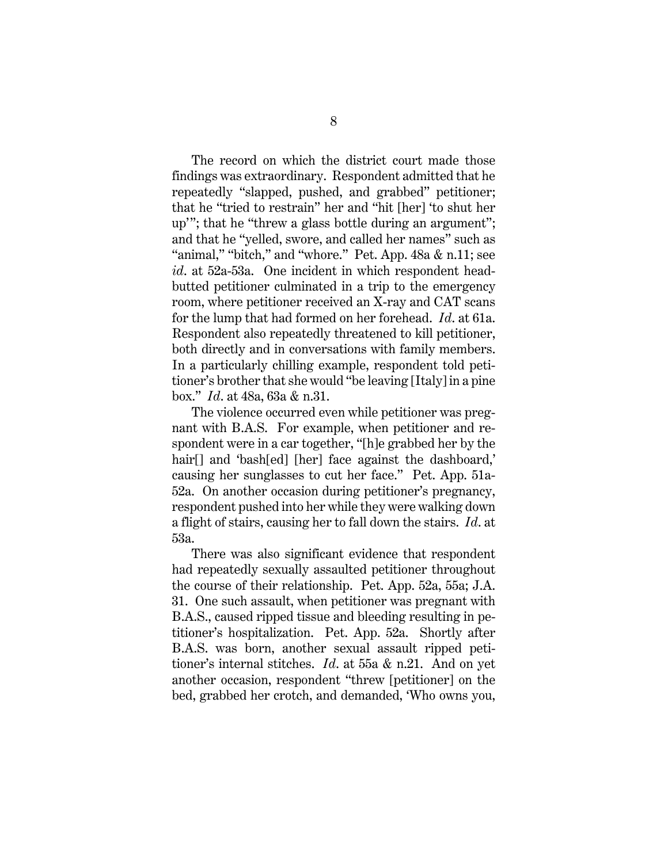The record on which the district court made those findings was extraordinary. Respondent admitted that he repeatedly "slapped, pushed, and grabbed" petitioner; that he "tried to restrain" her and "hit [her] 'to shut her up'"; that he "threw a glass bottle during an argument"; and that he "yelled, swore, and called her names" such as "animal," "bitch," and "whore." Pet. App. 48a & n.11; see *id*. at 52a-53a. One incident in which respondent headbutted petitioner culminated in a trip to the emergency room, where petitioner received an X-ray and CAT scans for the lump that had formed on her forehead. *Id*. at 61a. Respondent also repeatedly threatened to kill petitioner, both directly and in conversations with family members. In a particularly chilling example, respondent told petitioner's brother that she would "be leaving [Italy] in a pine box." *Id*. at 48a, 63a & n.31.

The violence occurred even while petitioner was pregnant with B.A.S. For example, when petitioner and respondent were in a car together, "[h]e grabbed her by the hair<sup>[]</sup> and 'bash[ed] [her] face against the dashboard,' causing her sunglasses to cut her face." Pet. App. 51a-52a. On another occasion during petitioner's pregnancy, respondent pushed into her while they were walking down a flight of stairs, causing her to fall down the stairs. *Id*. at 53a.

There was also significant evidence that respondent had repeatedly sexually assaulted petitioner throughout the course of their relationship. Pet. App. 52a, 55a; J.A. 31. One such assault, when petitioner was pregnant with B.A.S., caused ripped tissue and bleeding resulting in petitioner's hospitalization. Pet. App. 52a. Shortly after B.A.S. was born, another sexual assault ripped petitioner's internal stitches. *Id*. at 55a & n.21. And on yet another occasion, respondent "threw [petitioner] on the bed, grabbed her crotch, and demanded, 'Who owns you,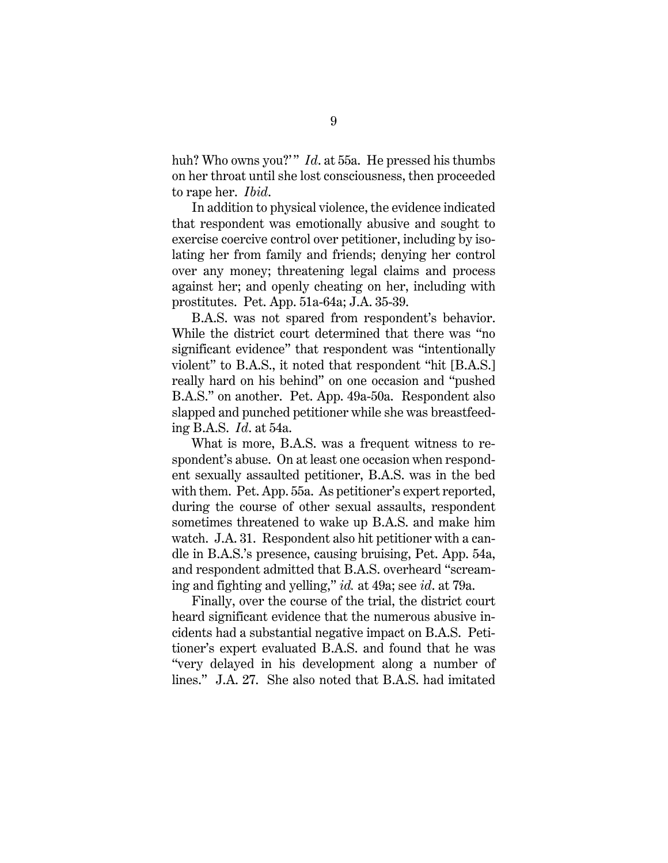huh? Who owns you?" *Id.* at 55a. He pressed his thumbs on her throat until she lost consciousness, then proceeded to rape her. *Ibid*.

In addition to physical violence, the evidence indicated that respondent was emotionally abusive and sought to exercise coercive control over petitioner, including by isolating her from family and friends; denying her control over any money; threatening legal claims and process against her; and openly cheating on her, including with prostitutes. Pet. App. 51a-64a; J.A. 35-39.

B.A.S. was not spared from respondent's behavior. While the district court determined that there was "no significant evidence" that respondent was "intentionally violent" to B.A.S., it noted that respondent "hit [B.A.S.] really hard on his behind" on one occasion and "pushed B.A.S." on another. Pet. App. 49a-50a. Respondent also slapped and punched petitioner while she was breastfeeding B.A.S. *Id*. at 54a.

What is more, B.A.S. was a frequent witness to respondent's abuse. On at least one occasion when respondent sexually assaulted petitioner, B.A.S. was in the bed with them. Pet. App. 55a. As petitioner's expert reported, during the course of other sexual assaults, respondent sometimes threatened to wake up B.A.S. and make him watch. J.A. 31. Respondent also hit petitioner with a candle in B.A.S.'s presence, causing bruising, Pet. App. 54a, and respondent admitted that B.A.S. overheard "screaming and fighting and yelling," *id.* at 49a; see *id*. at 79a.

Finally, over the course of the trial, the district court heard significant evidence that the numerous abusive incidents had a substantial negative impact on B.A.S. Petitioner's expert evaluated B.A.S. and found that he was "very delayed in his development along a number of lines." J.A. 27. She also noted that B.A.S. had imitated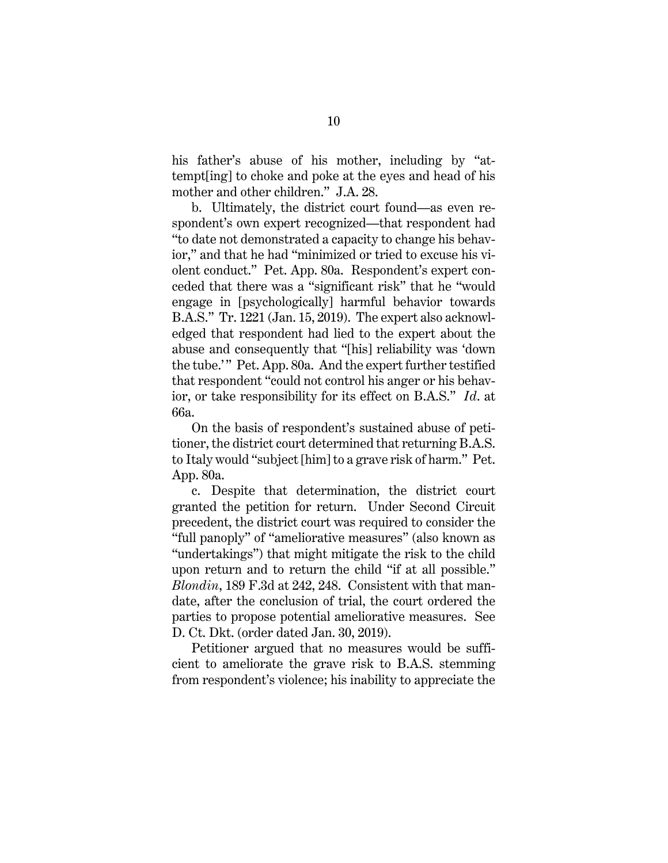his father's abuse of his mother, including by "attempt[ing] to choke and poke at the eyes and head of his mother and other children." J.A. 28.

b. Ultimately, the district court found—as even respondent's own expert recognized—that respondent had "to date not demonstrated a capacity to change his behavior," and that he had "minimized or tried to excuse his violent conduct." Pet. App. 80a. Respondent's expert conceded that there was a "significant risk" that he "would engage in [psychologically] harmful behavior towards B.A.S." Tr. 1221 (Jan. 15, 2019). The expert also acknowledged that respondent had lied to the expert about the abuse and consequently that "[his] reliability was 'down the tube.'" Pet. App. 80a. And the expert further testified that respondent "could not control his anger or his behavior, or take responsibility for its effect on B.A.S." *Id*. at 66a.

On the basis of respondent's sustained abuse of petitioner, the district court determined that returning B.A.S. to Italy would "subject [him] to a grave risk of harm." Pet. App. 80a.

c. Despite that determination, the district court granted the petition for return. Under Second Circuit precedent, the district court was required to consider the "full panoply" of "ameliorative measures" (also known as "undertakings") that might mitigate the risk to the child upon return and to return the child "if at all possible." *Blondin*, 189 F.3d at 242, 248. Consistent with that mandate, after the conclusion of trial, the court ordered the parties to propose potential ameliorative measures. See D. Ct. Dkt. (order dated Jan. 30, 2019).

Petitioner argued that no measures would be sufficient to ameliorate the grave risk to B.A.S. stemming from respondent's violence; his inability to appreciate the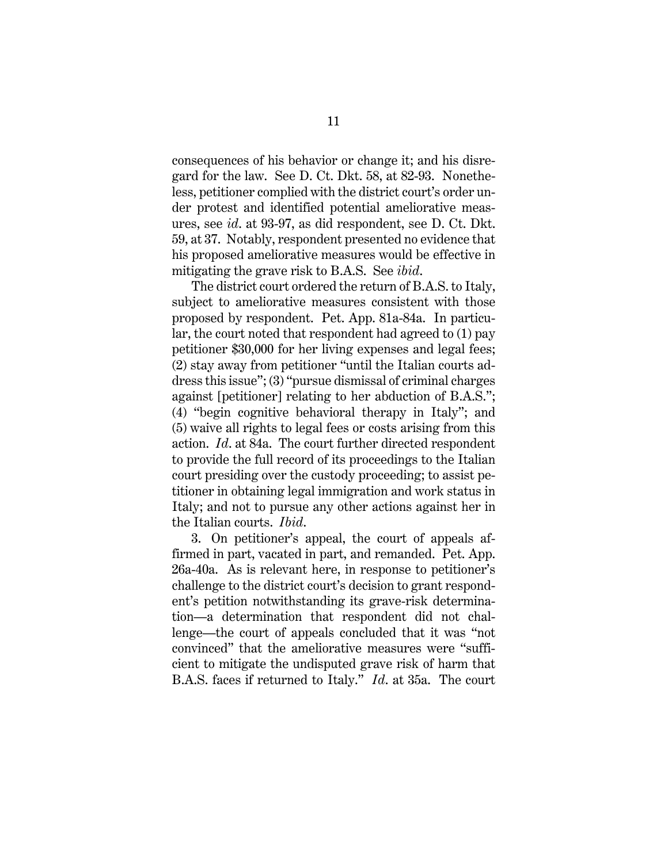consequences of his behavior or change it; and his disregard for the law. See D. Ct. Dkt. 58, at 82-93. Nonetheless, petitioner complied with the district court's order under protest and identified potential ameliorative measures, see *id*. at 93-97, as did respondent, see D. Ct. Dkt. 59, at 37. Notably, respondent presented no evidence that his proposed ameliorative measures would be effective in mitigating the grave risk to B.A.S. See *ibid*.

The district court ordered the return of B.A.S. to Italy, subject to ameliorative measures consistent with those proposed by respondent. Pet. App. 81a-84a. In particular, the court noted that respondent had agreed to (1) pay petitioner \$30,000 for her living expenses and legal fees; (2) stay away from petitioner "until the Italian courts address this issue"; (3) "pursue dismissal of criminal charges against [petitioner] relating to her abduction of B.A.S."; (4) "begin cognitive behavioral therapy in Italy"; and (5) waive all rights to legal fees or costs arising from this action. *Id*. at 84a. The court further directed respondent to provide the full record of its proceedings to the Italian court presiding over the custody proceeding; to assist petitioner in obtaining legal immigration and work status in Italy; and not to pursue any other actions against her in the Italian courts. *Ibid*.

3. On petitioner's appeal, the court of appeals affirmed in part, vacated in part, and remanded. Pet. App. 26a-40a. As is relevant here, in response to petitioner's challenge to the district court's decision to grant respondent's petition notwithstanding its grave-risk determination—a determination that respondent did not challenge—the court of appeals concluded that it was "not convinced" that the ameliorative measures were "sufficient to mitigate the undisputed grave risk of harm that B.A.S. faces if returned to Italy." *Id*. at 35a. The court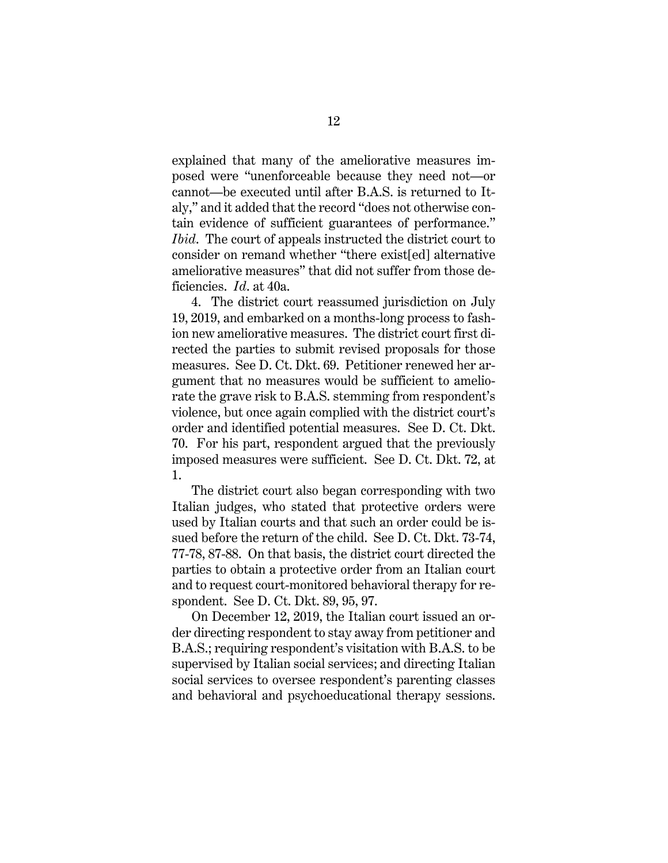explained that many of the ameliorative measures imposed were "unenforceable because they need not—or cannot—be executed until after B.A.S. is returned to Italy," and it added that the record "does not otherwise contain evidence of sufficient guarantees of performance." *Ibid*. The court of appeals instructed the district court to consider on remand whether "there exist[ed] alternative ameliorative measures" that did not suffer from those deficiencies. *Id*. at 40a.

4. The district court reassumed jurisdiction on July 19, 2019, and embarked on a months-long process to fashion new ameliorative measures. The district court first directed the parties to submit revised proposals for those measures. See D. Ct. Dkt. 69. Petitioner renewed her argument that no measures would be sufficient to ameliorate the grave risk to B.A.S. stemming from respondent's violence, but once again complied with the district court's order and identified potential measures. See D. Ct. Dkt. 70. For his part, respondent argued that the previously imposed measures were sufficient. See D. Ct. Dkt. 72, at 1.

The district court also began corresponding with two Italian judges, who stated that protective orders were used by Italian courts and that such an order could be issued before the return of the child. See D. Ct. Dkt. 73-74, 77-78, 87-88. On that basis, the district court directed the parties to obtain a protective order from an Italian court and to request court-monitored behavioral therapy for respondent. See D. Ct. Dkt. 89, 95, 97.

On December 12, 2019, the Italian court issued an order directing respondent to stay away from petitioner and B.A.S.; requiring respondent's visitation with B.A.S. to be supervised by Italian social services; and directing Italian social services to oversee respondent's parenting classes and behavioral and psychoeducational therapy sessions.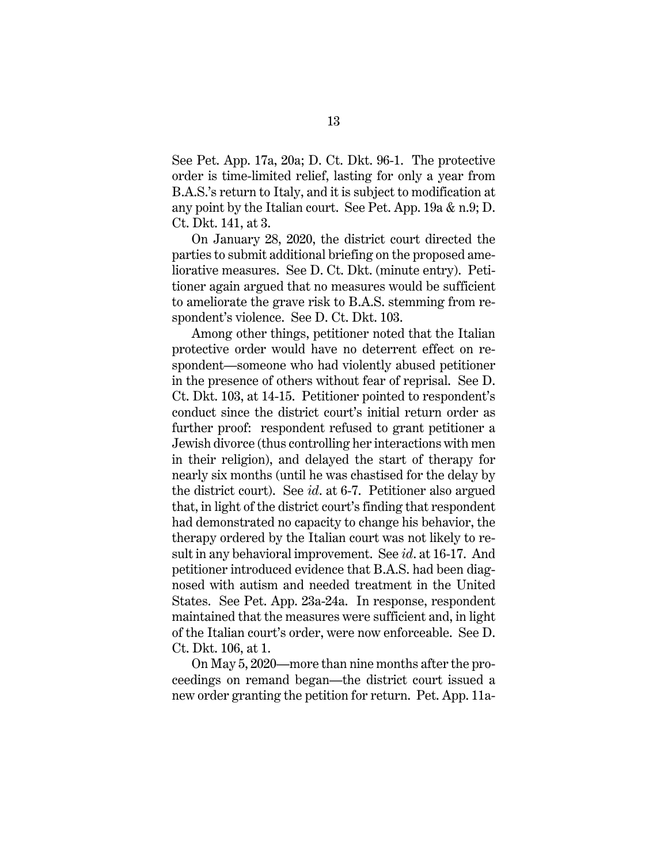See Pet. App. 17a, 20a; D. Ct. Dkt. 96-1. The protective order is time-limited relief, lasting for only a year from B.A.S.'s return to Italy, and it is subject to modification at any point by the Italian court. See Pet. App. 19a & n.9; D. Ct. Dkt. 141, at 3.

On January 28, 2020, the district court directed the parties to submit additional briefing on the proposed ameliorative measures. See D. Ct. Dkt. (minute entry). Petitioner again argued that no measures would be sufficient to ameliorate the grave risk to B.A.S. stemming from respondent's violence. See D. Ct. Dkt. 103.

Among other things, petitioner noted that the Italian protective order would have no deterrent effect on respondent—someone who had violently abused petitioner in the presence of others without fear of reprisal. See D. Ct. Dkt. 103, at 14-15. Petitioner pointed to respondent's conduct since the district court's initial return order as further proof: respondent refused to grant petitioner a Jewish divorce (thus controlling her interactions with men in their religion), and delayed the start of therapy for nearly six months (until he was chastised for the delay by the district court). See *id*. at 6-7. Petitioner also argued that, in light of the district court's finding that respondent had demonstrated no capacity to change his behavior, the therapy ordered by the Italian court was not likely to result in any behavioral improvement. See *id*. at 16-17. And petitioner introduced evidence that B.A.S. had been diagnosed with autism and needed treatment in the United States. See Pet. App. 23a-24a. In response, respondent maintained that the measures were sufficient and, in light of the Italian court's order, were now enforceable. See D. Ct. Dkt. 106, at 1.

On May 5, 2020—more than nine months after the proceedings on remand began—the district court issued a new order granting the petition for return. Pet. App. 11a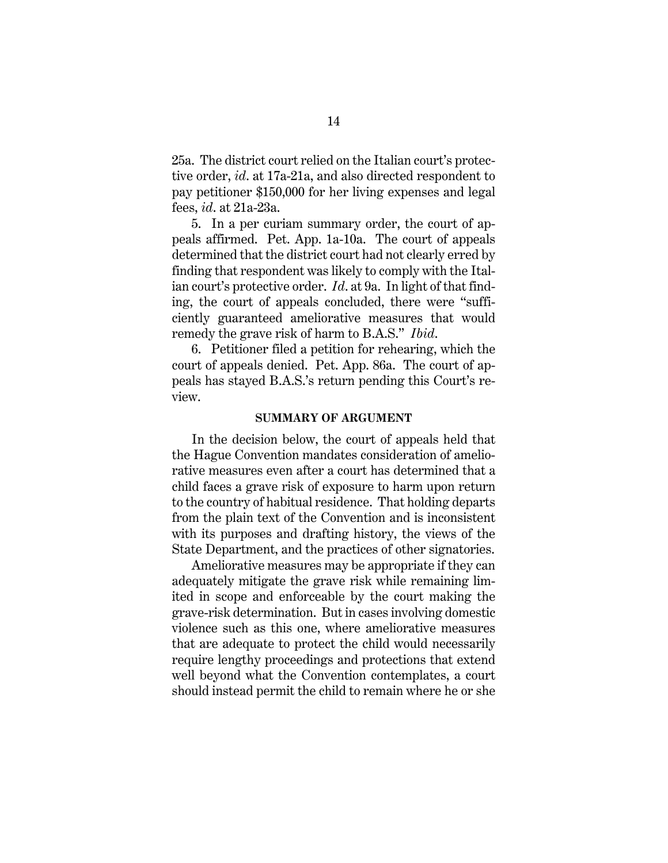25a. The district court relied on the Italian court's protective order, *id*. at 17a-21a, and also directed respondent to pay petitioner \$150,000 for her living expenses and legal fees, *id*. at 21a-23a.

5. In a per curiam summary order, the court of appeals affirmed. Pet. App. 1a-10a. The court of appeals determined that the district court had not clearly erred by finding that respondent was likely to comply with the Italian court's protective order. *Id*. at 9a. In light of that finding, the court of appeals concluded, there were "sufficiently guaranteed ameliorative measures that would remedy the grave risk of harm to B.A.S." *Ibid*.

6. Petitioner filed a petition for rehearing, which the court of appeals denied. Pet. App. 86a. The court of appeals has stayed B.A.S.'s return pending this Court's review.

#### **SUMMARY OF ARGUMENT**

In the decision below, the court of appeals held that the Hague Convention mandates consideration of ameliorative measures even after a court has determined that a child faces a grave risk of exposure to harm upon return to the country of habitual residence. That holding departs from the plain text of the Convention and is inconsistent with its purposes and drafting history, the views of the State Department, and the practices of other signatories.

Ameliorative measures may be appropriate if they can adequately mitigate the grave risk while remaining limited in scope and enforceable by the court making the grave-risk determination. But in cases involving domestic violence such as this one, where ameliorative measures that are adequate to protect the child would necessarily require lengthy proceedings and protections that extend well beyond what the Convention contemplates, a court should instead permit the child to remain where he or she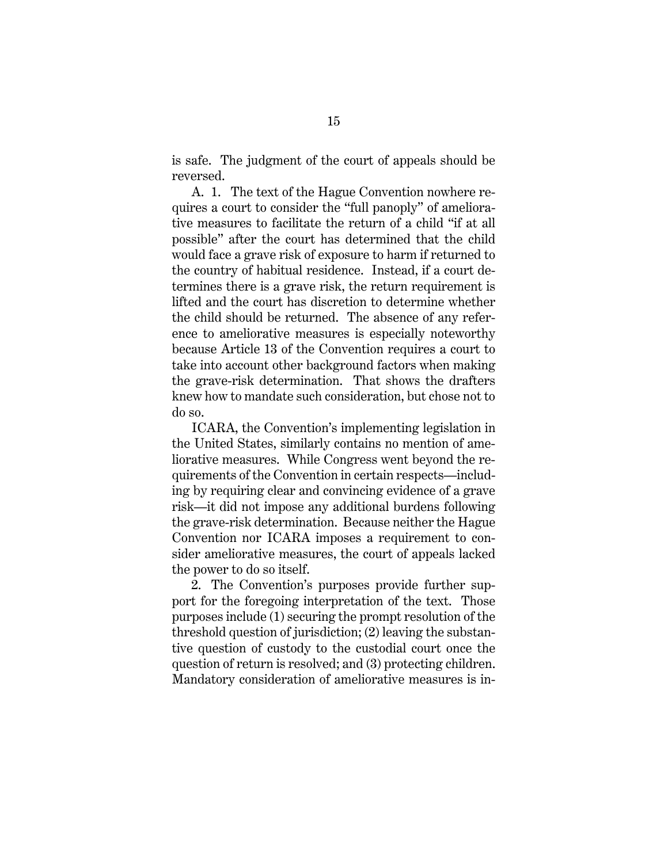is safe. The judgment of the court of appeals should be reversed.

A. 1. The text of the Hague Convention nowhere requires a court to consider the "full panoply" of ameliorative measures to facilitate the return of a child "if at all possible" after the court has determined that the child would face a grave risk of exposure to harm if returned to the country of habitual residence. Instead, if a court determines there is a grave risk, the return requirement is lifted and the court has discretion to determine whether the child should be returned. The absence of any reference to ameliorative measures is especially noteworthy because Article 13 of the Convention requires a court to take into account other background factors when making the grave-risk determination. That shows the drafters knew how to mandate such consideration, but chose not to do so.

ICARA, the Convention's implementing legislation in the United States, similarly contains no mention of ameliorative measures. While Congress went beyond the requirements of the Convention in certain respects—including by requiring clear and convincing evidence of a grave risk—it did not impose any additional burdens following the grave-risk determination. Because neither the Hague Convention nor ICARA imposes a requirement to consider ameliorative measures, the court of appeals lacked the power to do so itself.

2. The Convention's purposes provide further support for the foregoing interpretation of the text. Those purposes include (1) securing the prompt resolution of the threshold question of jurisdiction; (2) leaving the substantive question of custody to the custodial court once the question of return is resolved; and (3) protecting children. Mandatory consideration of ameliorative measures is in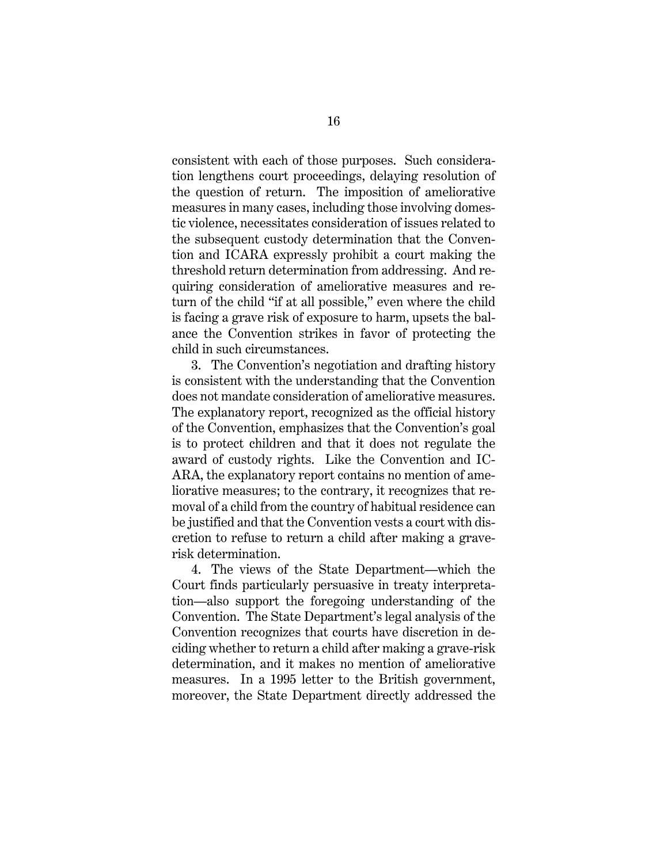consistent with each of those purposes. Such consideration lengthens court proceedings, delaying resolution of the question of return. The imposition of ameliorative measures in many cases, including those involving domestic violence, necessitates consideration of issues related to the subsequent custody determination that the Convention and ICARA expressly prohibit a court making the threshold return determination from addressing. And requiring consideration of ameliorative measures and return of the child "if at all possible," even where the child is facing a grave risk of exposure to harm, upsets the balance the Convention strikes in favor of protecting the child in such circumstances.

3. The Convention's negotiation and drafting history is consistent with the understanding that the Convention does not mandate consideration of ameliorative measures. The explanatory report, recognized as the official history of the Convention, emphasizes that the Convention's goal is to protect children and that it does not regulate the award of custody rights. Like the Convention and IC-ARA, the explanatory report contains no mention of ameliorative measures; to the contrary, it recognizes that removal of a child from the country of habitual residence can be justified and that the Convention vests a court with discretion to refuse to return a child after making a graverisk determination.

4. The views of the State Department—which the Court finds particularly persuasive in treaty interpretation—also support the foregoing understanding of the Convention. The State Department's legal analysis of the Convention recognizes that courts have discretion in deciding whether to return a child after making a grave-risk determination, and it makes no mention of ameliorative measures. In a 1995 letter to the British government, moreover, the State Department directly addressed the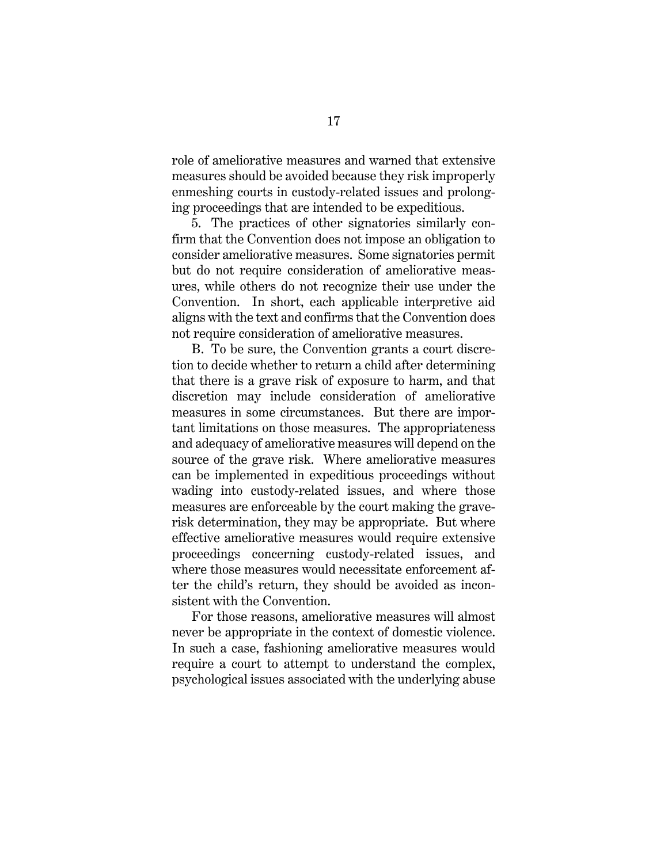role of ameliorative measures and warned that extensive measures should be avoided because they risk improperly enmeshing courts in custody-related issues and prolonging proceedings that are intended to be expeditious.

5. The practices of other signatories similarly confirm that the Convention does not impose an obligation to consider ameliorative measures. Some signatories permit but do not require consideration of ameliorative measures, while others do not recognize their use under the Convention. In short, each applicable interpretive aid aligns with the text and confirms that the Convention does not require consideration of ameliorative measures.

B. To be sure, the Convention grants a court discretion to decide whether to return a child after determining that there is a grave risk of exposure to harm, and that discretion may include consideration of ameliorative measures in some circumstances. But there are important limitations on those measures. The appropriateness and adequacy of ameliorative measures will depend on the source of the grave risk. Where ameliorative measures can be implemented in expeditious proceedings without wading into custody-related issues, and where those measures are enforceable by the court making the graverisk determination, they may be appropriate. But where effective ameliorative measures would require extensive proceedings concerning custody-related issues, and where those measures would necessitate enforcement after the child's return, they should be avoided as inconsistent with the Convention.

For those reasons, ameliorative measures will almost never be appropriate in the context of domestic violence. In such a case, fashioning ameliorative measures would require a court to attempt to understand the complex, psychological issues associated with the underlying abuse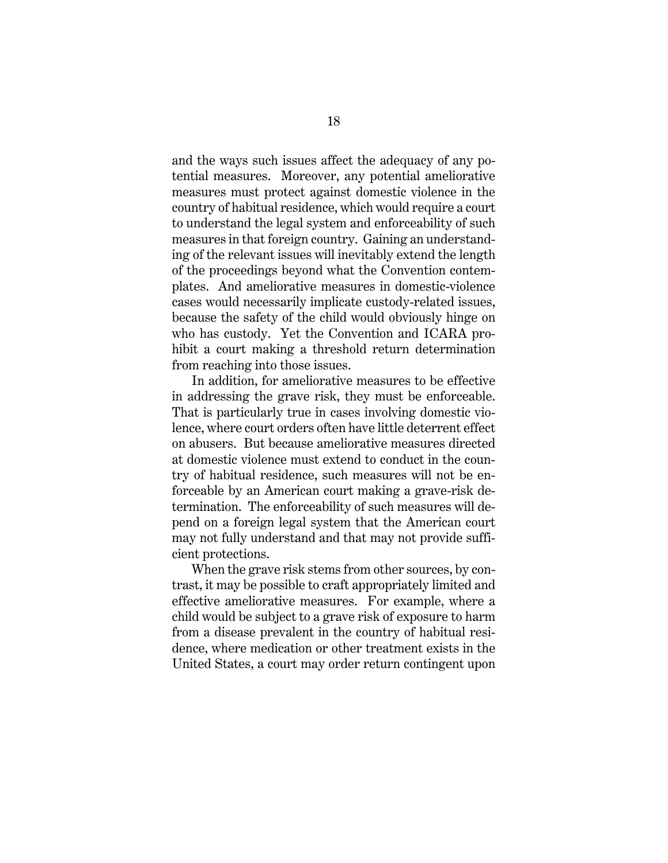and the ways such issues affect the adequacy of any potential measures. Moreover, any potential ameliorative measures must protect against domestic violence in the country of habitual residence, which would require a court to understand the legal system and enforceability of such measures in that foreign country. Gaining an understanding of the relevant issues will inevitably extend the length of the proceedings beyond what the Convention contemplates. And ameliorative measures in domestic-violence cases would necessarily implicate custody-related issues, because the safety of the child would obviously hinge on who has custody. Yet the Convention and ICARA prohibit a court making a threshold return determination from reaching into those issues.

In addition, for ameliorative measures to be effective in addressing the grave risk, they must be enforceable. That is particularly true in cases involving domestic violence, where court orders often have little deterrent effect on abusers. But because ameliorative measures directed at domestic violence must extend to conduct in the country of habitual residence, such measures will not be enforceable by an American court making a grave-risk determination. The enforceability of such measures will depend on a foreign legal system that the American court may not fully understand and that may not provide sufficient protections.

When the grave risk stems from other sources, by contrast, it may be possible to craft appropriately limited and effective ameliorative measures. For example, where a child would be subject to a grave risk of exposure to harm from a disease prevalent in the country of habitual residence, where medication or other treatment exists in the United States, a court may order return contingent upon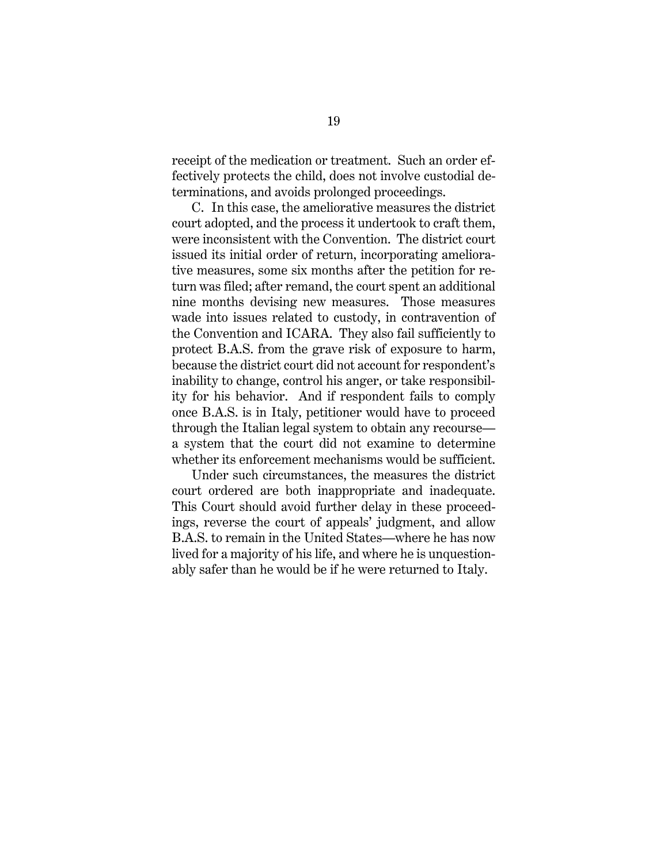receipt of the medication or treatment. Such an order effectively protects the child, does not involve custodial determinations, and avoids prolonged proceedings.

C. In this case, the ameliorative measures the district court adopted, and the process it undertook to craft them, were inconsistent with the Convention. The district court issued its initial order of return, incorporating ameliorative measures, some six months after the petition for return was filed; after remand, the court spent an additional nine months devising new measures. Those measures wade into issues related to custody, in contravention of the Convention and ICARA. They also fail sufficiently to protect B.A.S. from the grave risk of exposure to harm, because the district court did not account for respondent's inability to change, control his anger, or take responsibility for his behavior. And if respondent fails to comply once B.A.S. is in Italy, petitioner would have to proceed through the Italian legal system to obtain any recourse a system that the court did not examine to determine whether its enforcement mechanisms would be sufficient.

Under such circumstances, the measures the district court ordered are both inappropriate and inadequate. This Court should avoid further delay in these proceedings, reverse the court of appeals' judgment, and allow B.A.S. to remain in the United States—where he has now lived for a majority of his life, and where he is unquestionably safer than he would be if he were returned to Italy.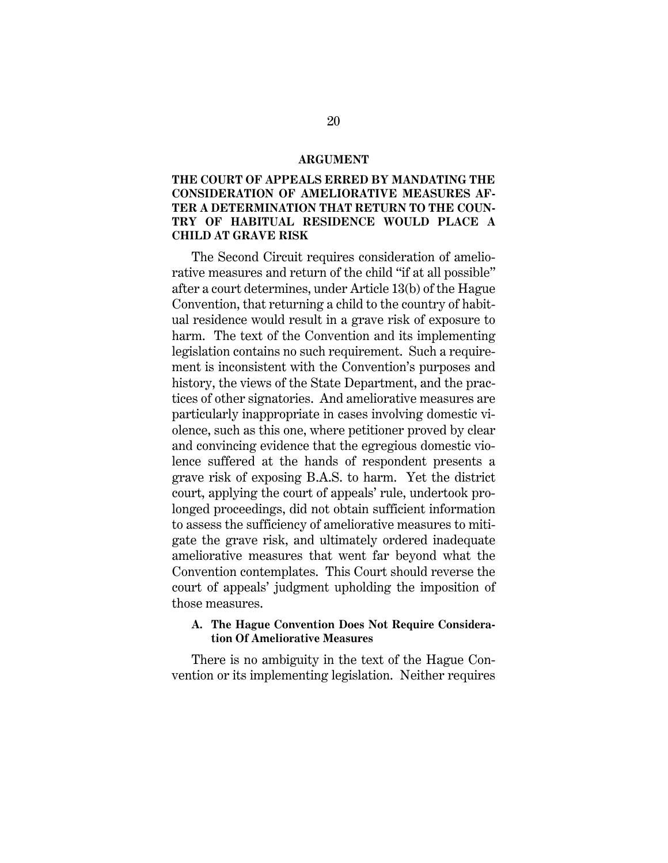#### **ARGUMENT**

# **THE COURT OF APPEALS ERRED BY MANDATING THE CONSIDERATION OF AMELIORATIVE MEASURES AF-TER A DETERMINATION THAT RETURN TO THE COUN-TRY OF HABITUAL RESIDENCE WOULD PLACE A CHILD AT GRAVE RISK**

The Second Circuit requires consideration of ameliorative measures and return of the child "if at all possible" after a court determines, under Article 13(b) of the Hague Convention, that returning a child to the country of habitual residence would result in a grave risk of exposure to harm. The text of the Convention and its implementing legislation contains no such requirement. Such a requirement is inconsistent with the Convention's purposes and history, the views of the State Department, and the practices of other signatories. And ameliorative measures are particularly inappropriate in cases involving domestic violence, such as this one, where petitioner proved by clear and convincing evidence that the egregious domestic violence suffered at the hands of respondent presents a grave risk of exposing B.A.S. to harm. Yet the district court, applying the court of appeals' rule, undertook prolonged proceedings, did not obtain sufficient information to assess the sufficiency of ameliorative measures to mitigate the grave risk, and ultimately ordered inadequate ameliorative measures that went far beyond what the Convention contemplates. This Court should reverse the court of appeals' judgment upholding the imposition of those measures.

# **A. The Hague Convention Does Not Require Consideration Of Ameliorative Measures**

There is no ambiguity in the text of the Hague Convention or its implementing legislation. Neither requires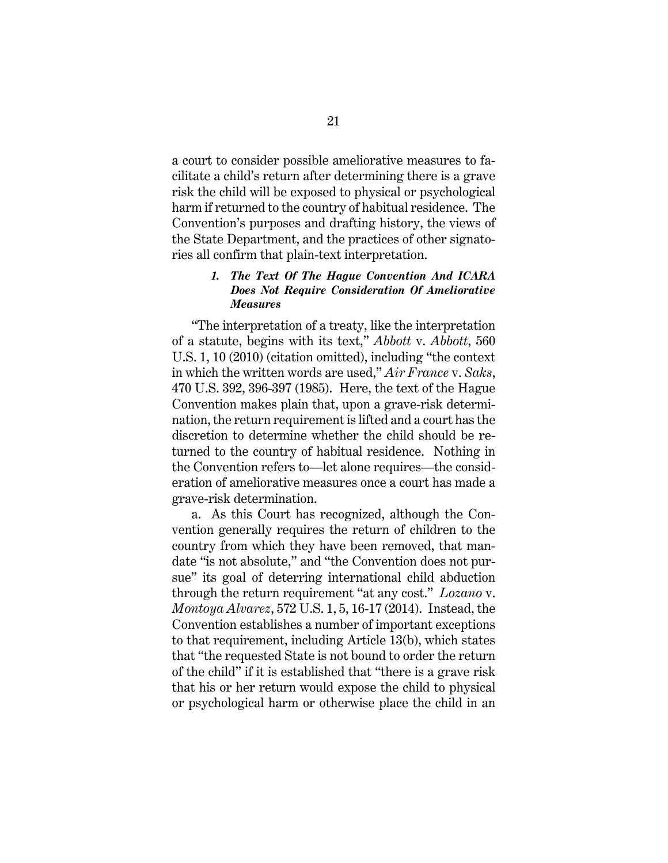a court to consider possible ameliorative measures to facilitate a child's return after determining there is a grave risk the child will be exposed to physical or psychological harm if returned to the country of habitual residence. The Convention's purposes and drafting history, the views of the State Department, and the practices of other signatories all confirm that plain-text interpretation.

# *1. The Text Of The Hague Convention And ICARA Does Not Require Consideration Of Ameliorative Measures*

"The interpretation of a treaty, like the interpretation of a statute, begins with its text," *Abbott* v. *Abbott*, 560 U.S. 1, 10 (2010) (citation omitted), including "the context in which the written words are used," *Air France* v. *Saks*, 470 U.S. 392, 396-397 (1985). Here, the text of the Hague Convention makes plain that, upon a grave-risk determination, the return requirement is lifted and a court has the discretion to determine whether the child should be returned to the country of habitual residence. Nothing in the Convention refers to—let alone requires—the consideration of ameliorative measures once a court has made a grave-risk determination.

a. As this Court has recognized, although the Convention generally requires the return of children to the country from which they have been removed, that mandate "is not absolute," and "the Convention does not pursue" its goal of deterring international child abduction through the return requirement "at any cost." *Lozano* v. *Montoya Alvarez*, 572 U.S. 1, 5, 16-17 (2014). Instead, the Convention establishes a number of important exceptions to that requirement, including Article 13(b), which states that "the requested State is not bound to order the return of the child" if it is established that "there is a grave risk that his or her return would expose the child to physical or psychological harm or otherwise place the child in an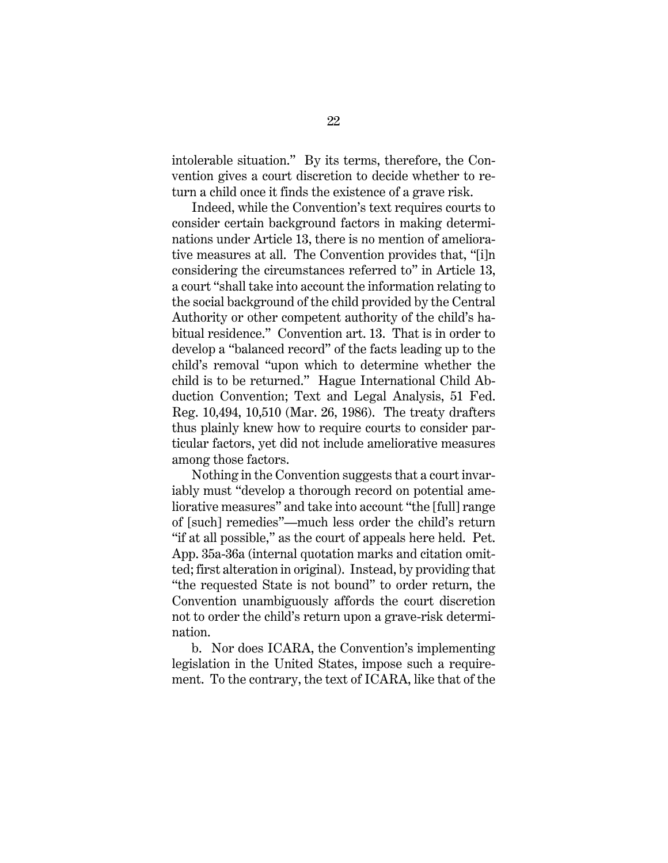intolerable situation." By its terms, therefore, the Convention gives a court discretion to decide whether to return a child once it finds the existence of a grave risk.

Indeed, while the Convention's text requires courts to consider certain background factors in making determinations under Article 13, there is no mention of ameliorative measures at all. The Convention provides that, "[i]n considering the circumstances referred to" in Article 13, a court "shall take into account the information relating to the social background of the child provided by the Central Authority or other competent authority of the child's habitual residence." Convention art. 13. That is in order to develop a "balanced record" of the facts leading up to the child's removal "upon which to determine whether the child is to be returned." Hague International Child Abduction Convention; Text and Legal Analysis, 51 Fed. Reg. 10,494, 10,510 (Mar. 26, 1986). The treaty drafters thus plainly knew how to require courts to consider particular factors, yet did not include ameliorative measures among those factors.

Nothing in the Convention suggests that a court invariably must "develop a thorough record on potential ameliorative measures" and take into account "the [full] range of [such] remedies"—much less order the child's return "if at all possible," as the court of appeals here held. Pet. App. 35a-36a (internal quotation marks and citation omitted; first alteration in original). Instead, by providing that "the requested State is not bound" to order return, the Convention unambiguously affords the court discretion not to order the child's return upon a grave-risk determination.

b. Nor does ICARA, the Convention's implementing legislation in the United States, impose such a requirement. To the contrary, the text of ICARA, like that of the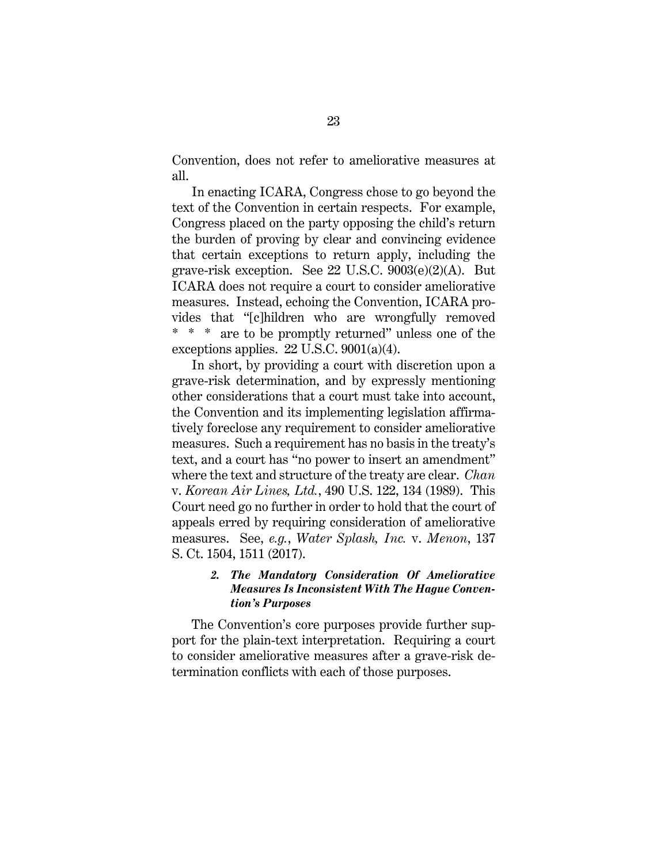Convention, does not refer to ameliorative measures at all.

In enacting ICARA, Congress chose to go beyond the text of the Convention in certain respects. For example, Congress placed on the party opposing the child's return the burden of proving by clear and convincing evidence that certain exceptions to return apply, including the grave-risk exception. See 22 U.S.C. 9003(e)(2)(A). But ICARA does not require a court to consider ameliorative measures. Instead, echoing the Convention, ICARA provides that "[c]hildren who are wrongfully removed \* \* \* are to be promptly returned" unless one of the exceptions applies. 22 U.S.C. 9001(a)(4).

In short, by providing a court with discretion upon a grave-risk determination, and by expressly mentioning other considerations that a court must take into account, the Convention and its implementing legislation affirmatively foreclose any requirement to consider ameliorative measures. Such a requirement has no basis in the treaty's text, and a court has "no power to insert an amendment" where the text and structure of the treaty are clear. *Chan*  v. *Korean Air Lines, Ltd.*, 490 U.S. 122, 134 (1989). This Court need go no further in order to hold that the court of appeals erred by requiring consideration of ameliorative measures. See, *e.g.*, *Water Splash, Inc.* v. *Menon*, 137 S. Ct. 1504, 1511 (2017).

# *2. The Mandatory Consideration Of Ameliorative Measures Is Inconsistent With The Hague Convention's Purposes*

The Convention's core purposes provide further support for the plain-text interpretation. Requiring a court to consider ameliorative measures after a grave-risk determination conflicts with each of those purposes.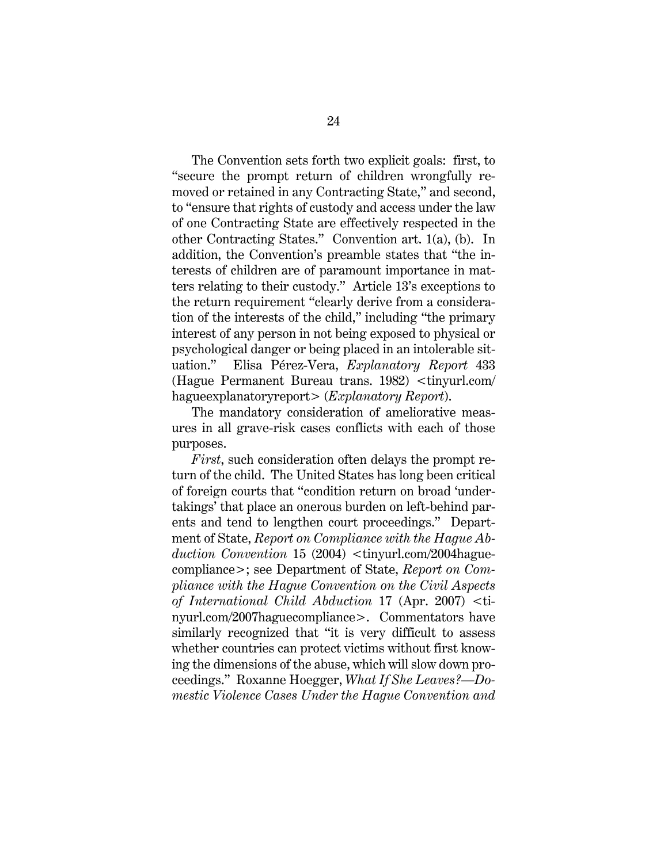The Convention sets forth two explicit goals: first, to "secure the prompt return of children wrongfully removed or retained in any Contracting State," and second, to "ensure that rights of custody and access under the law of one Contracting State are effectively respected in the other Contracting States." Convention art. 1(a), (b). In addition, the Convention's preamble states that "the interests of children are of paramount importance in matters relating to their custody." Article 13's exceptions to the return requirement "clearly derive from a consideration of the interests of the child," including "the primary interest of any person in not being exposed to physical or psychological danger or being placed in an intolerable situation." Elisa Pérez-Vera, *Explanatory Report* 433 (Hague Permanent Bureau trans. 1982) <tinyurl.com/ hagueexplanatoryreport> (*Explanatory Report*).

The mandatory consideration of ameliorative measures in all grave-risk cases conflicts with each of those purposes.

*First*, such consideration often delays the prompt return of the child. The United States has long been critical of foreign courts that "condition return on broad 'undertakings' that place an onerous burden on left-behind parents and tend to lengthen court proceedings." Department of State, *Report on Compliance with the Hague Ab*duction Convention 15 (2004)  $\lt$ tinyurl.com/2004haguecompliance>; see Department of State, *Report on Compliance with the Hague Convention on the Civil Aspects of International Child Abduction* 17 (Apr. 2007) <tinyurl.com/2007haguecompliance>. Commentators have similarly recognized that "it is very difficult to assess whether countries can protect victims without first knowing the dimensions of the abuse, which will slow down proceedings." Roxanne Hoegger, *What If She Leaves?—Domestic Violence Cases Under the Hague Convention and*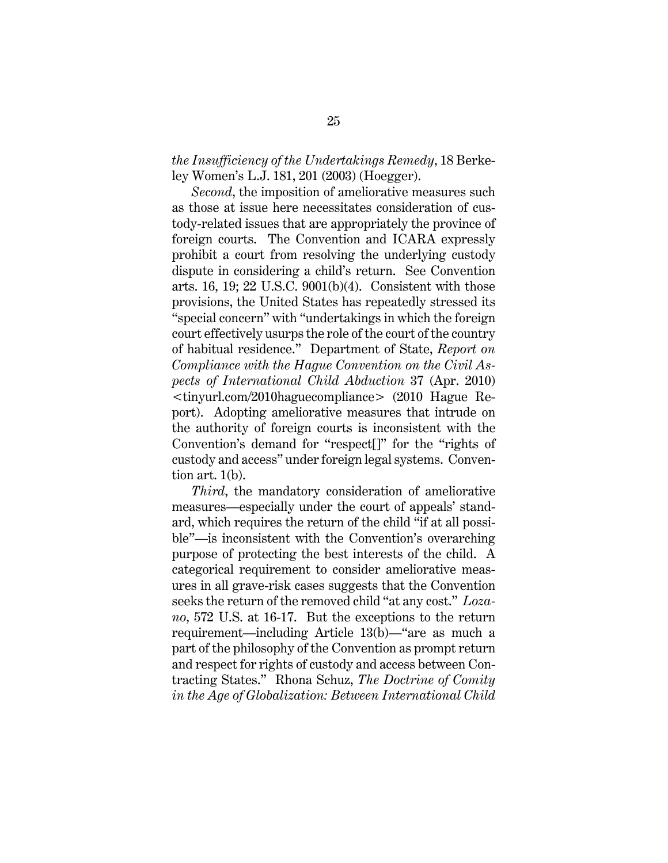# *the Insufficiency of the Undertakings Remedy*, 18 Berkeley Women's L.J. 181, 201 (2003) (Hoegger).

*Second*, the imposition of ameliorative measures such as those at issue here necessitates consideration of custody-related issues that are appropriately the province of foreign courts. The Convention and ICARA expressly prohibit a court from resolving the underlying custody dispute in considering a child's return. See Convention arts. 16, 19; 22 U.S.C. 9001(b)(4). Consistent with those provisions, the United States has repeatedly stressed its "special concern" with "undertakings in which the foreign court effectively usurps the role of the court of the country of habitual residence." Department of State, *Report on Compliance with the Hague Convention on the Civil Aspects of International Child Abduction* 37 (Apr. 2010) <tinyurl.com/2010haguecompliance> (2010 Hague Report). Adopting ameliorative measures that intrude on the authority of foreign courts is inconsistent with the Convention's demand for "respect[]" for the "rights of custody and access" under foreign legal systems. Convention art. 1(b).

*Third*, the mandatory consideration of ameliorative measures—especially under the court of appeals' standard, which requires the return of the child "if at all possible"—is inconsistent with the Convention's overarching purpose of protecting the best interests of the child. A categorical requirement to consider ameliorative measures in all grave-risk cases suggests that the Convention seeks the return of the removed child "at any cost." *Lozano*, 572 U.S. at 16-17. But the exceptions to the return requirement—including Article 13(b)—"are as much a part of the philosophy of the Convention as prompt return and respect for rights of custody and access between Contracting States." Rhona Schuz, *The Doctrine of Comity in the Age of Globalization: Between International Child*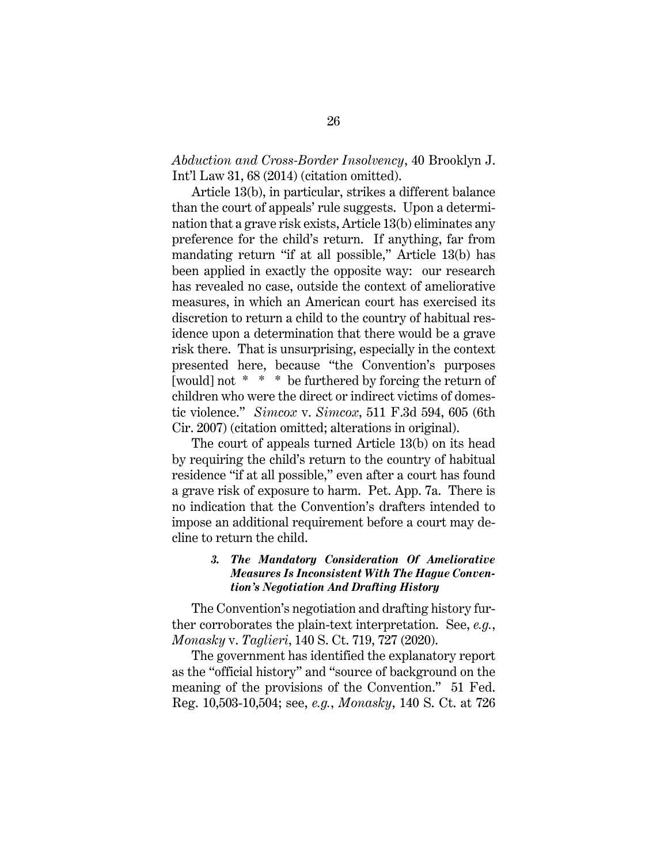*Abduction and Cross-Border Insolvency*, 40 Brooklyn J. Int'l Law 31, 68 (2014) (citation omitted).

Article 13(b), in particular, strikes a different balance than the court of appeals' rule suggests. Upon a determination that a grave risk exists, Article 13(b) eliminates any preference for the child's return. If anything, far from mandating return "if at all possible," Article 13(b) has been applied in exactly the opposite way: our research has revealed no case, outside the context of ameliorative measures, in which an American court has exercised its discretion to return a child to the country of habitual residence upon a determination that there would be a grave risk there. That is unsurprising, especially in the context presented here, because "the Convention's purposes [would] not \* \* \* be furthered by forcing the return of children who were the direct or indirect victims of domestic violence." *Simcox* v. *Simcox*, 511 F.3d 594, 605 (6th Cir. 2007) (citation omitted; alterations in original).

The court of appeals turned Article 13(b) on its head by requiring the child's return to the country of habitual residence "if at all possible," even after a court has found a grave risk of exposure to harm. Pet. App. 7a. There is no indication that the Convention's drafters intended to impose an additional requirement before a court may decline to return the child.

# *3. The Mandatory Consideration Of Ameliorative Measures Is Inconsistent With The Hague Convention's Negotiation And Drafting History*

The Convention's negotiation and drafting history further corroborates the plain-text interpretation. See, *e.g.*, *Monasky* v. *Taglieri*, 140 S. Ct. 719, 727 (2020).

The government has identified the explanatory report as the "official history" and "source of background on the meaning of the provisions of the Convention." 51 Fed. Reg. 10,503-10,504; see, *e.g.*, *Monasky*, 140 S. Ct. at 726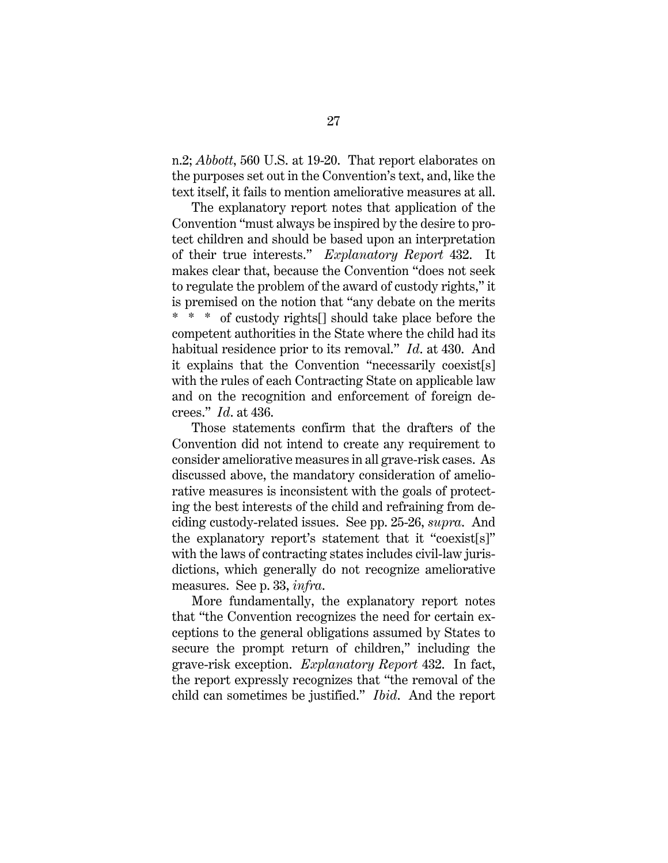n.2; *Abbott*, 560 U.S. at 19-20. That report elaborates on the purposes set out in the Convention's text, and, like the text itself, it fails to mention ameliorative measures at all.

The explanatory report notes that application of the Convention "must always be inspired by the desire to protect children and should be based upon an interpretation of their true interests." *Explanatory Report* 432. It makes clear that, because the Convention "does not seek to regulate the problem of the award of custody rights," it is premised on the notion that "any debate on the merits \* \* \* of custody rights[] should take place before the competent authorities in the State where the child had its habitual residence prior to its removal." *Id*. at 430. And it explains that the Convention "necessarily coexist[s] with the rules of each Contracting State on applicable law and on the recognition and enforcement of foreign decrees." *Id*. at 436.

Those statements confirm that the drafters of the Convention did not intend to create any requirement to consider ameliorative measures in all grave-risk cases. As discussed above, the mandatory consideration of ameliorative measures is inconsistent with the goals of protecting the best interests of the child and refraining from deciding custody-related issues. See pp. 25-26, *supra*. And the explanatory report's statement that it "coexist[s]" with the laws of contracting states includes civil-law jurisdictions, which generally do not recognize ameliorative measures. See p. 33, *infra*.

More fundamentally, the explanatory report notes that "the Convention recognizes the need for certain exceptions to the general obligations assumed by States to secure the prompt return of children," including the grave-risk exception. *Explanatory Report* 432. In fact, the report expressly recognizes that "the removal of the child can sometimes be justified." *Ibid*. And the report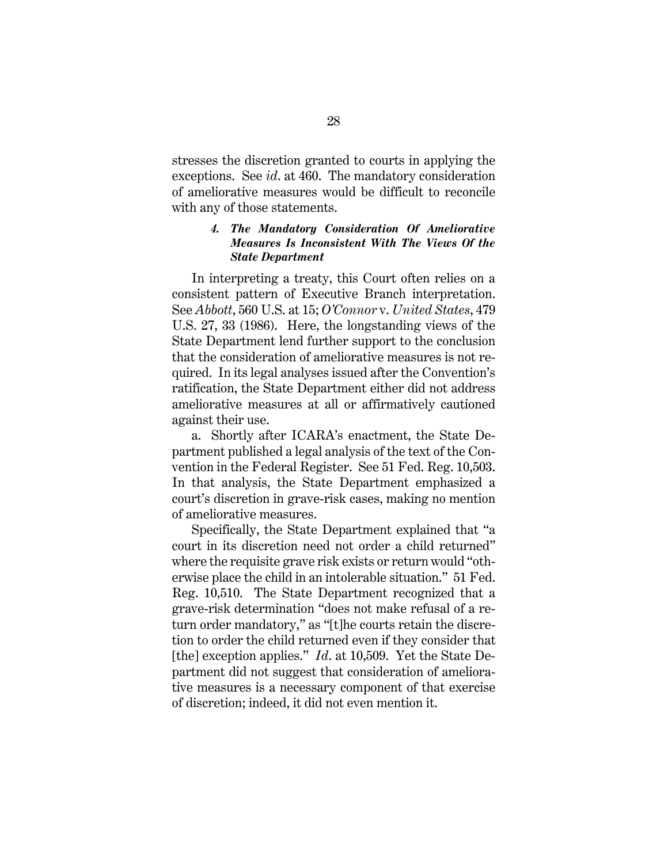stresses the discretion granted to courts in applying the exceptions. See *id*. at 460. The mandatory consideration of ameliorative measures would be difficult to reconcile with any of those statements.

# *4. The Mandatory Consideration Of Ameliorative Measures Is Inconsistent With The Views Of the State Department*

In interpreting a treaty, this Court often relies on a consistent pattern of Executive Branch interpretation. See *Abbott*, 560 U.S. at 15; *O'Connor* v. *United States*, 479 U.S. 27, 33 (1986). Here, the longstanding views of the State Department lend further support to the conclusion that the consideration of ameliorative measures is not required. In its legal analyses issued after the Convention's ratification, the State Department either did not address ameliorative measures at all or affirmatively cautioned against their use.

a. Shortly after ICARA's enactment, the State Department published a legal analysis of the text of the Convention in the Federal Register. See 51 Fed. Reg. 10,503. In that analysis, the State Department emphasized a court's discretion in grave-risk cases, making no mention of ameliorative measures.

Specifically, the State Department explained that "a court in its discretion need not order a child returned" where the requisite grave risk exists or return would "otherwise place the child in an intolerable situation." 51 Fed. Reg. 10,510. The State Department recognized that a grave-risk determination "does not make refusal of a return order mandatory," as "[t]he courts retain the discretion to order the child returned even if they consider that [the] exception applies." *Id*. at 10,509.Yet the State Department did not suggest that consideration of ameliorative measures is a necessary component of that exercise of discretion; indeed, it did not even mention it.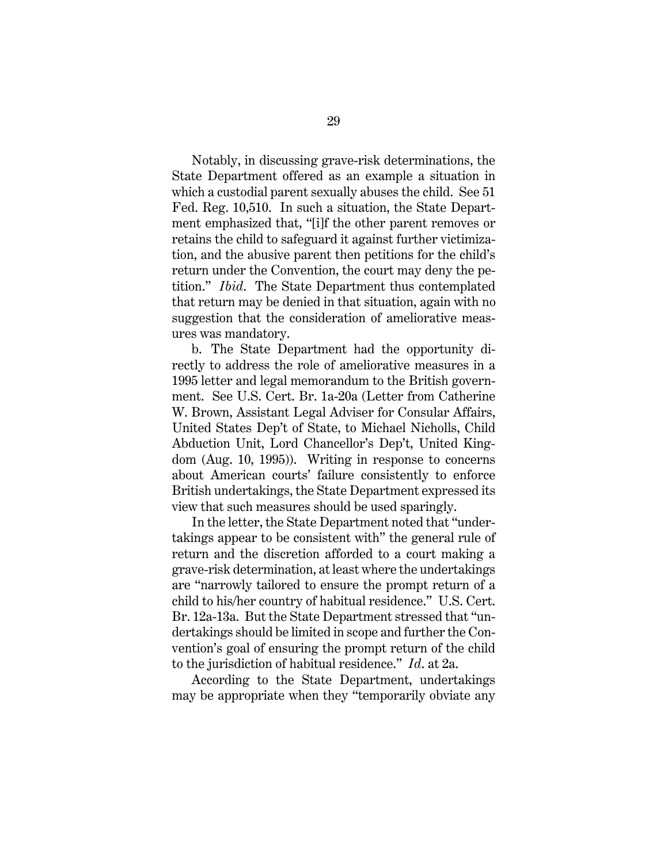Notably, in discussing grave-risk determinations, the State Department offered as an example a situation in which a custodial parent sexually abuses the child. See 51 Fed. Reg. 10,510. In such a situation, the State Department emphasized that, "[i]f the other parent removes or retains the child to safeguard it against further victimization, and the abusive parent then petitions for the child's return under the Convention, the court may deny the petition." *Ibid*. The State Department thus contemplated that return may be denied in that situation, again with no suggestion that the consideration of ameliorative measures was mandatory.

b. The State Department had the opportunity directly to address the role of ameliorative measures in a 1995 letter and legal memorandum to the British government. See U.S. Cert. Br. 1a-20a (Letter from Catherine W. Brown, Assistant Legal Adviser for Consular Affairs, United States Dep't of State, to Michael Nicholls, Child Abduction Unit, Lord Chancellor's Dep't, United Kingdom (Aug. 10, 1995)). Writing in response to concerns about American courts' failure consistently to enforce British undertakings, the State Department expressed its view that such measures should be used sparingly.

In the letter, the State Department noted that "undertakings appear to be consistent with" the general rule of return and the discretion afforded to a court making a grave-risk determination, at least where the undertakings are "narrowly tailored to ensure the prompt return of a child to his/her country of habitual residence." U.S. Cert. Br. 12a-13a. But the State Department stressed that "undertakings should be limited in scope and further the Convention's goal of ensuring the prompt return of the child to the jurisdiction of habitual residence." *Id*. at 2a.

According to the State Department, undertakings may be appropriate when they "temporarily obviate any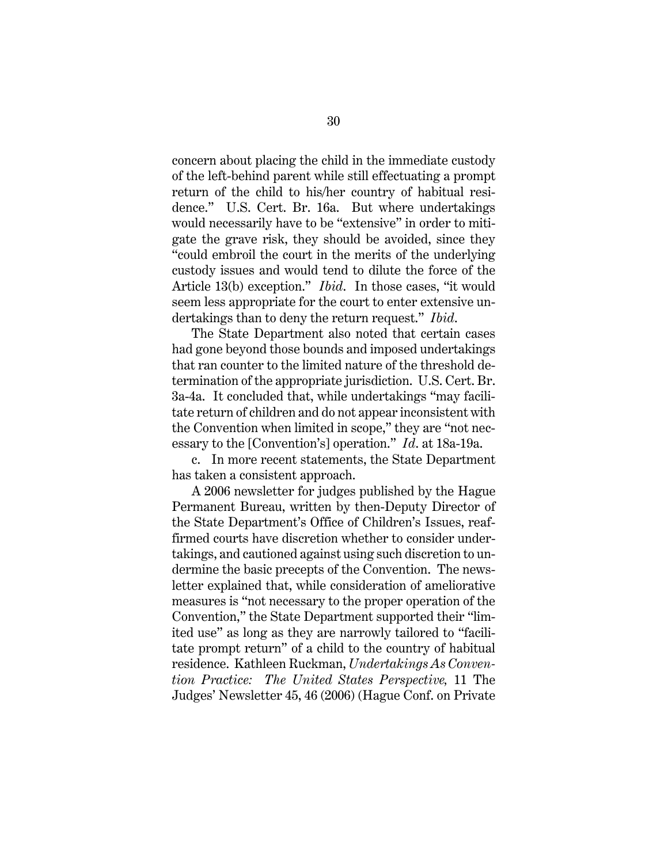concern about placing the child in the immediate custody of the left-behind parent while still effectuating a prompt return of the child to his/her country of habitual residence." U.S. Cert. Br. 16a. But where undertakings would necessarily have to be "extensive" in order to mitigate the grave risk, they should be avoided, since they "could embroil the court in the merits of the underlying custody issues and would tend to dilute the force of the Article 13(b) exception." *Ibid*. In those cases, "it would seem less appropriate for the court to enter extensive undertakings than to deny the return request." *Ibid*.

The State Department also noted that certain cases had gone beyond those bounds and imposed undertakings that ran counter to the limited nature of the threshold determination of the appropriate jurisdiction. U.S. Cert. Br. 3a-4a. It concluded that, while undertakings "may facilitate return of children and do not appear inconsistent with the Convention when limited in scope," they are "not necessary to the [Convention's] operation." *Id*. at 18a-19a.

c. In more recent statements, the State Department has taken a consistent approach.

A 2006 newsletter for judges published by the Hague Permanent Bureau, written by then-Deputy Director of the State Department's Office of Children's Issues, reaffirmed courts have discretion whether to consider undertakings, and cautioned against using such discretion to undermine the basic precepts of the Convention. The newsletter explained that, while consideration of ameliorative measures is "not necessary to the proper operation of the Convention," the State Department supported their "limited use" as long as they are narrowly tailored to "facilitate prompt return" of a child to the country of habitual residence. Kathleen Ruckman, *Undertakings As Convention Practice: The United States Perspective,* 11 The Judges' Newsletter 45, 46 (2006) (Hague Conf. on Private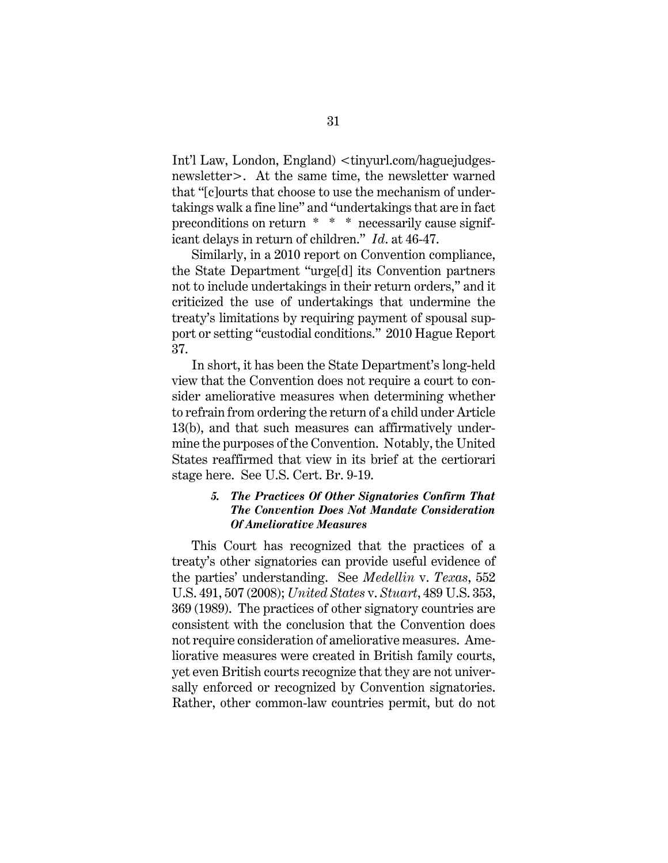Int'l Law, London, England) <tinyurl.com/haguejudgesnewsletter>. At the same time, the newsletter warned that "[c]ourts that choose to use the mechanism of undertakings walk a fine line" and "undertakings that are in fact preconditions on return \* \* \* necessarily cause significant delays in return of children." *Id*. at 46-47.

Similarly, in a 2010 report on Convention compliance, the State Department "urge[d] its Convention partners not to include undertakings in their return orders," and it criticized the use of undertakings that undermine the treaty's limitations by requiring payment of spousal support or setting "custodial conditions." 2010 Hague Report 37.

In short, it has been the State Department's long-held view that the Convention does not require a court to consider ameliorative measures when determining whether to refrain from ordering the return of a child under Article 13(b), and that such measures can affirmatively undermine the purposes of the Convention. Notably, the United States reaffirmed that view in its brief at the certiorari stage here. See U.S. Cert. Br. 9-19.

# *5. The Practices Of Other Signatories Confirm That The Convention Does Not Mandate Consideration Of Ameliorative Measures*

This Court has recognized that the practices of a treaty's other signatories can provide useful evidence of the parties' understanding. See *Medellin* v. *Texas*, 552 U.S. 491, 507 (2008); *United States* v. *Stuart*, 489 U.S. 353, 369 (1989). The practices of other signatory countries are consistent with the conclusion that the Convention does not require consideration of ameliorative measures. Ameliorative measures were created in British family courts, yet even British courts recognize that they are not universally enforced or recognized by Convention signatories. Rather, other common-law countries permit, but do not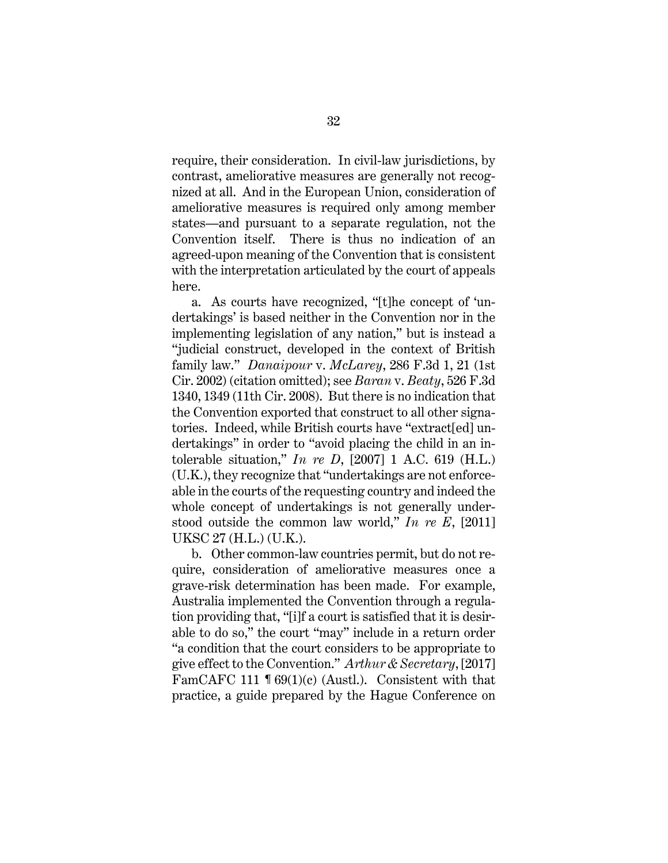require, their consideration. In civil-law jurisdictions, by contrast, ameliorative measures are generally not recognized at all. And in the European Union, consideration of ameliorative measures is required only among member states—and pursuant to a separate regulation, not the Convention itself. There is thus no indication of an agreed-upon meaning of the Convention that is consistent with the interpretation articulated by the court of appeals here.

a. As courts have recognized, "[t]he concept of 'undertakings' is based neither in the Convention nor in the implementing legislation of any nation," but is instead a "judicial construct, developed in the context of British family law." *Danaipour* v. *McLarey*, 286 F.3d 1, 21 (1st Cir. 2002) (citation omitted); see *Baran* v. *Beaty*, 526 F.3d 1340, 1349 (11th Cir. 2008). But there is no indication that the Convention exported that construct to all other signatories. Indeed, while British courts have "extract[ed] undertakings" in order to "avoid placing the child in an intolerable situation," *In re D*, [2007] 1 A.C. 619 (H.L.) (U.K.), they recognize that "undertakings are not enforceable in the courts of the requesting country and indeed the whole concept of undertakings is not generally understood outside the common law world," *In re E*, [2011] UKSC 27 (H.L.) (U.K.).

b. Other common-law countries permit, but do not require, consideration of ameliorative measures once a grave-risk determination has been made. For example, Australia implemented the Convention through a regulation providing that, "[i]f a court is satisfied that it is desirable to do so," the court "may" include in a return order "a condition that the court considers to be appropriate to give effect to the Convention." *Arthur & Secretary*, [2017] FamCAFC 111 ¶ 69(1)(c) (Austl.). Consistent with that practice, a guide prepared by the Hague Conference on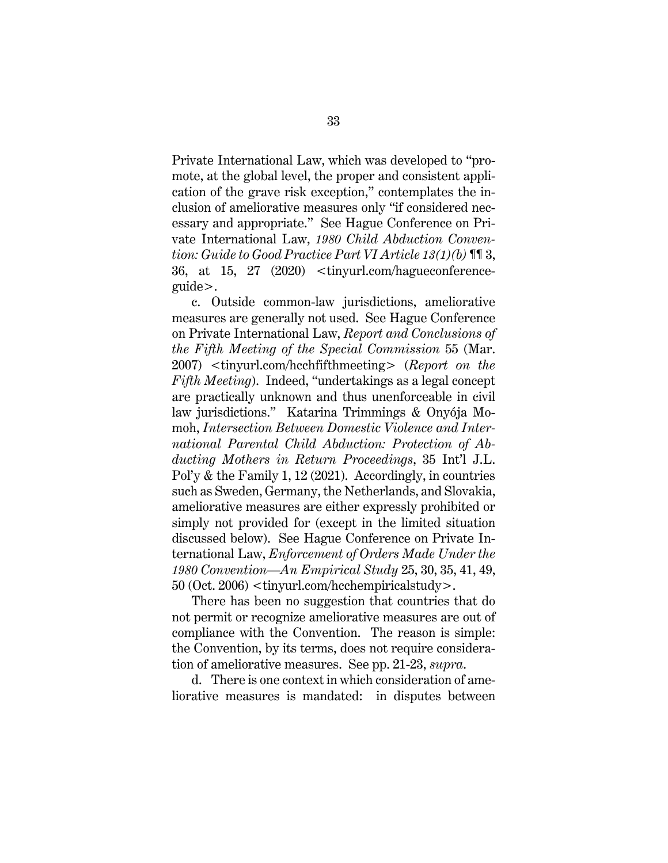Private International Law, which was developed to "promote, at the global level, the proper and consistent application of the grave risk exception," contemplates the inclusion of ameliorative measures only "if considered necessary and appropriate." See Hague Conference on Private International Law, *1980 Child Abduction Convention: Guide to Good Practice Part VI Article 13(1)(b)* ¶¶ 3, 36, at 15, 27 (2020) <tinyurl.com/hagueconferenceguide>.

c. Outside common-law jurisdictions, ameliorative measures are generally not used. See Hague Conference on Private International Law, *Report and Conclusions of the Fifth Meeting of the Special Commission* 55 (Mar. 2007) <tinyurl.com/hcchfifthmeeting> (*Report on the Fifth Meeting*). Indeed, "undertakings as a legal concept are practically unknown and thus unenforceable in civil law jurisdictions." Katarina Trimmings & Onyója Momoh, *Intersection Between Domestic Violence and International Parental Child Abduction: Protection of Abducting Mothers in Return Proceedings*, 35 Int'l J.L. Pol'y & the Family 1, 12 (2021). Accordingly, in countries such as Sweden, Germany, the Netherlands, and Slovakia, ameliorative measures are either expressly prohibited or simply not provided for (except in the limited situation discussed below). See Hague Conference on Private International Law, *Enforcement of Orders Made Under the 1980 Convention—An Empirical Study* 25, 30, 35, 41, 49, 50 (Oct. 2006) <tinyurl.com/hcchempiricalstudy>.

There has been no suggestion that countries that do not permit or recognize ameliorative measures are out of compliance with the Convention. The reason is simple: the Convention, by its terms, does not require consideration of ameliorative measures. See pp. 21-23, *supra*.

d. There is one context in which consideration of ameliorative measures is mandated: in disputes between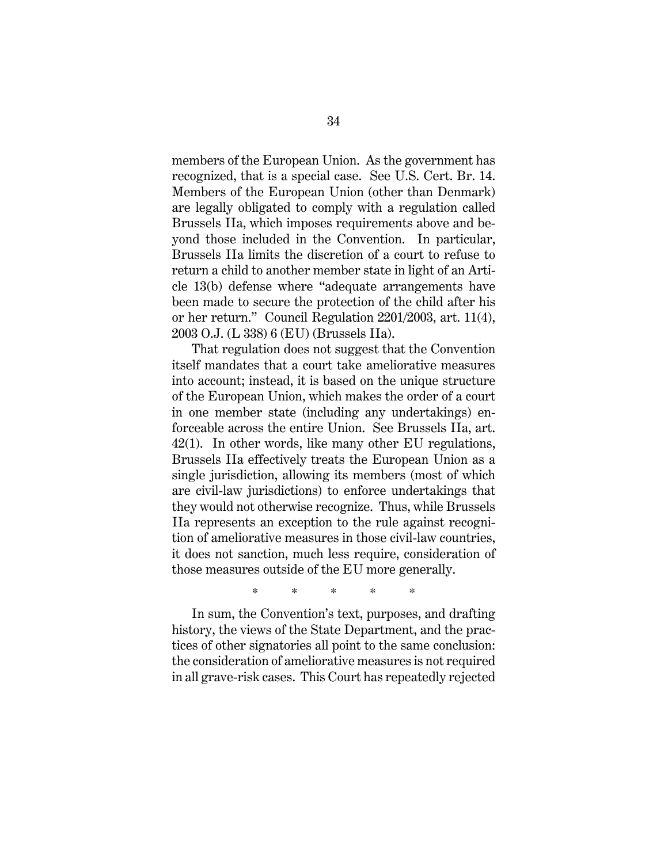members of the European Union. As the government has recognized, that is a special case. See U.S. Cert. Br. 14. Members of the European Union (other than Denmark) are legally obligated to comply with a regulation called Brussels IIa, which imposes requirements above and beyond those included in the Convention. In particular, Brussels IIa limits the discretion of a court to refuse to return a child to another member state in light of an Article 13(b) defense where "adequate arrangements have been made to secure the protection of the child after his or her return." Council Regulation 2201/2003, art. 11(4), 2003 O.J. (L 338) 6 (EU) (Brussels IIa).

That regulation does not suggest that the Convention itself mandates that a court take ameliorative measures into account; instead, it is based on the unique structure of the European Union, which makes the order of a court in one member state (including any undertakings) enforceable across the entire Union. See Brussels IIa, art. 42(1). In other words, like many other EU regulations, Brussels IIa effectively treats the European Union as a single jurisdiction, allowing its members (most of which are civil-law jurisdictions) to enforce undertakings that they would not otherwise recognize. Thus, while Brussels IIa represents an exception to the rule against recognition of ameliorative measures in those civil-law countries, it does not sanction, much less require, consideration of those measures outside of the EU more generally.

\* \* \* \* \*

In sum, the Convention's text, purposes, and drafting history, the views of the State Department, and the practices of other signatories all point to the same conclusion: the consideration of ameliorative measures is not required in all grave-risk cases. This Court has repeatedly rejected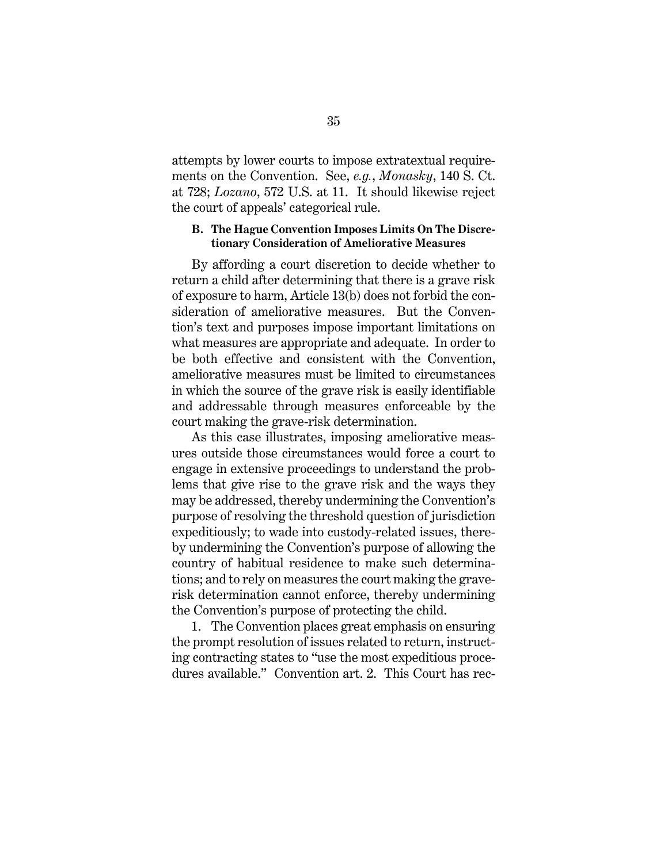attempts by lower courts to impose extratextual requirements on the Convention. See, *e.g.*, *Monasky*, 140 S. Ct. at 728; *Lozano*, 572 U.S. at 11. It should likewise reject the court of appeals' categorical rule.

# **B. The Hague Convention Imposes Limits On The Discretionary Consideration of Ameliorative Measures**

By affording a court discretion to decide whether to return a child after determining that there is a grave risk of exposure to harm, Article 13(b) does not forbid the consideration of ameliorative measures. But the Convention's text and purposes impose important limitations on what measures are appropriate and adequate. In order to be both effective and consistent with the Convention, ameliorative measures must be limited to circumstances in which the source of the grave risk is easily identifiable and addressable through measures enforceable by the court making the grave-risk determination.

As this case illustrates, imposing ameliorative measures outside those circumstances would force a court to engage in extensive proceedings to understand the problems that give rise to the grave risk and the ways they may be addressed, thereby undermining the Convention's purpose of resolving the threshold question of jurisdiction expeditiously; to wade into custody-related issues, thereby undermining the Convention's purpose of allowing the country of habitual residence to make such determinations; and to rely on measures the court making the graverisk determination cannot enforce, thereby undermining the Convention's purpose of protecting the child.

1. The Convention places great emphasis on ensuring the prompt resolution of issues related to return, instructing contracting states to "use the most expeditious procedures available." Convention art. 2. This Court has rec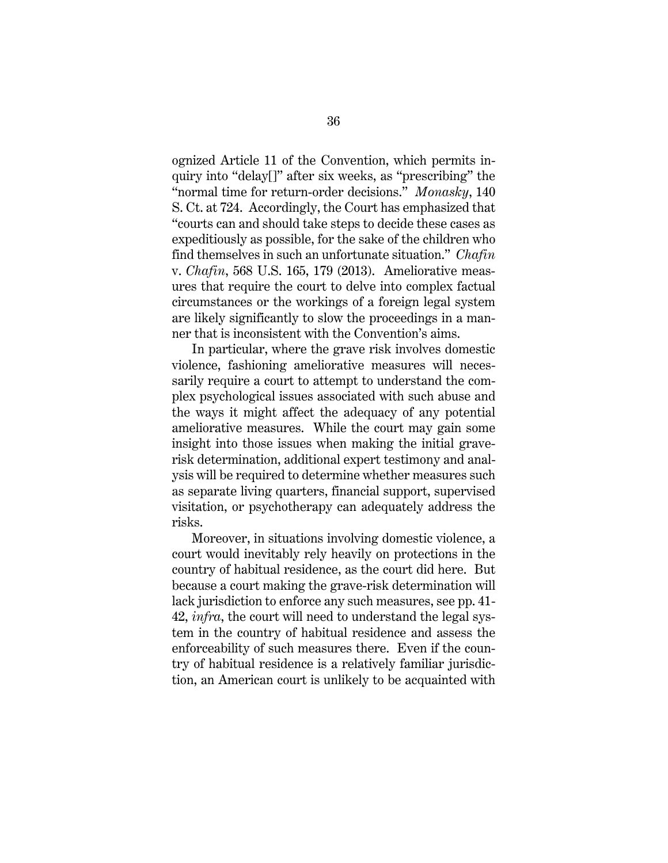ognized Article 11 of the Convention, which permits inquiry into "delay[]" after six weeks, as "prescribing" the "normal time for return-order decisions." *Monasky*, 140 S. Ct. at 724. Accordingly, the Court has emphasized that "courts can and should take steps to decide these cases as expeditiously as possible, for the sake of the children who find themselves in such an unfortunate situation." *Chafin*  v. *Chafin*, 568 U.S. 165, 179 (2013). Ameliorative measures that require the court to delve into complex factual circumstances or the workings of a foreign legal system are likely significantly to slow the proceedings in a manner that is inconsistent with the Convention's aims.

In particular, where the grave risk involves domestic violence, fashioning ameliorative measures will necessarily require a court to attempt to understand the complex psychological issues associated with such abuse and the ways it might affect the adequacy of any potential ameliorative measures. While the court may gain some insight into those issues when making the initial graverisk determination, additional expert testimony and analysis will be required to determine whether measures such as separate living quarters, financial support, supervised visitation, or psychotherapy can adequately address the risks.

Moreover, in situations involving domestic violence, a court would inevitably rely heavily on protections in the country of habitual residence, as the court did here. But because a court making the grave-risk determination will lack jurisdiction to enforce any such measures, see pp. 41- 42, *infra*, the court will need to understand the legal system in the country of habitual residence and assess the enforceability of such measures there. Even if the country of habitual residence is a relatively familiar jurisdiction, an American court is unlikely to be acquainted with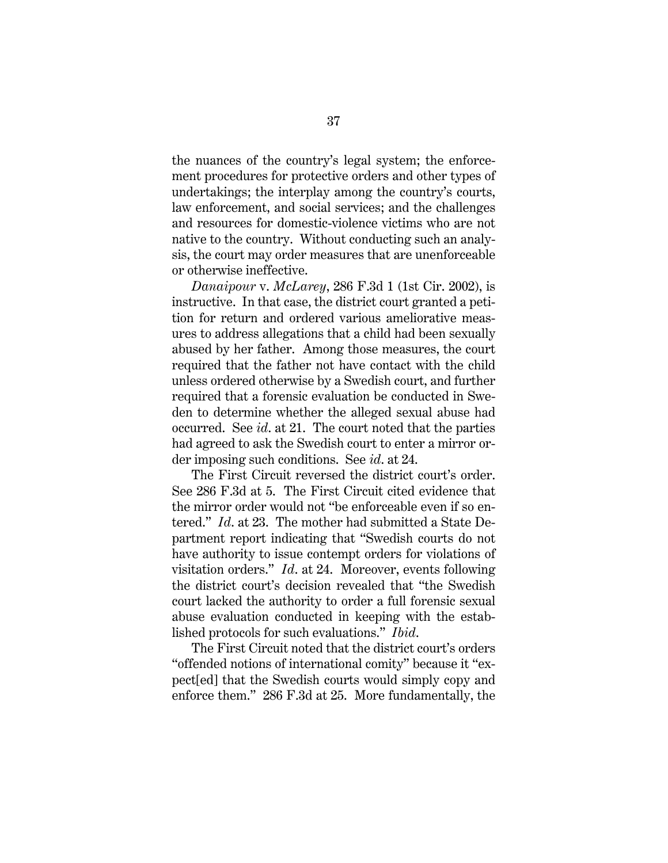the nuances of the country's legal system; the enforcement procedures for protective orders and other types of undertakings; the interplay among the country's courts, law enforcement, and social services; and the challenges and resources for domestic-violence victims who are not native to the country. Without conducting such an analysis, the court may order measures that are unenforceable or otherwise ineffective.

*Danaipour* v. *McLarey*, 286 F.3d 1 (1st Cir. 2002), is instructive. In that case, the district court granted a petition for return and ordered various ameliorative measures to address allegations that a child had been sexually abused by her father. Among those measures, the court required that the father not have contact with the child unless ordered otherwise by a Swedish court, and further required that a forensic evaluation be conducted in Sweden to determine whether the alleged sexual abuse had occurred. See *id*. at 21. The court noted that the parties had agreed to ask the Swedish court to enter a mirror order imposing such conditions. See *id*. at 24.

The First Circuit reversed the district court's order. See 286 F.3d at 5. The First Circuit cited evidence that the mirror order would not "be enforceable even if so entered." *Id*. at 23. The mother had submitted a State Department report indicating that "Swedish courts do not have authority to issue contempt orders for violations of visitation orders." *Id*. at 24. Moreover, events following the district court's decision revealed that "the Swedish court lacked the authority to order a full forensic sexual abuse evaluation conducted in keeping with the established protocols for such evaluations." *Ibid*.

The First Circuit noted that the district court's orders "offended notions of international comity" because it "expect[ed] that the Swedish courts would simply copy and enforce them." 286 F.3d at 25. More fundamentally, the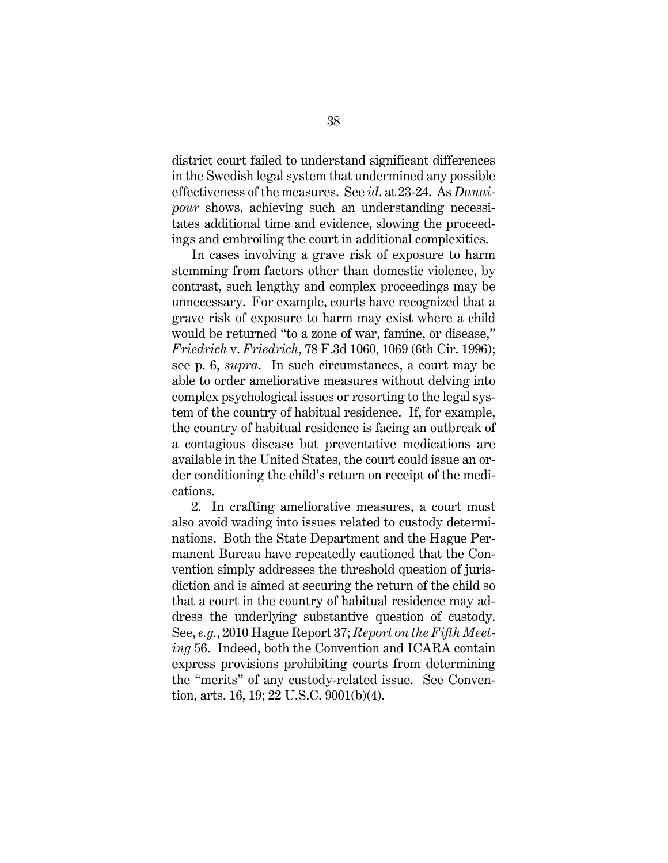district court failed to understand significant differences in the Swedish legal system that undermined any possible effectiveness of the measures. See *id*. at 23-24. As *Danaipour* shows, achieving such an understanding necessitates additional time and evidence, slowing the proceedings and embroiling the court in additional complexities.

In cases involving a grave risk of exposure to harm stemming from factors other than domestic violence, by contrast, such lengthy and complex proceedings may be unnecessary. For example, courts have recognized that a grave risk of exposure to harm may exist where a child would be returned "to a zone of war, famine, or disease," *Friedrich* v. *Friedrich*, 78 F.3d 1060, 1069 (6th Cir. 1996); see p. 6, *supra*. In such circumstances, a court may be able to order ameliorative measures without delving into complex psychological issues or resorting to the legal system of the country of habitual residence. If, for example, the country of habitual residence is facing an outbreak of a contagious disease but preventative medications are available in the United States, the court could issue an order conditioning the child's return on receipt of the medications.

2. In crafting ameliorative measures, a court must also avoid wading into issues related to custody determinations. Both the State Department and the Hague Permanent Bureau have repeatedly cautioned that the Convention simply addresses the threshold question of jurisdiction and is aimed at securing the return of the child so that a court in the country of habitual residence may address the underlying substantive question of custody. See, *e.g.*, 2010 Hague Report 37; *Report on the Fifth Meeting* 56. Indeed, both the Convention and ICARA contain express provisions prohibiting courts from determining the "merits" of any custody-related issue. See Convention, arts. 16, 19; 22 U.S.C. 9001(b)(4).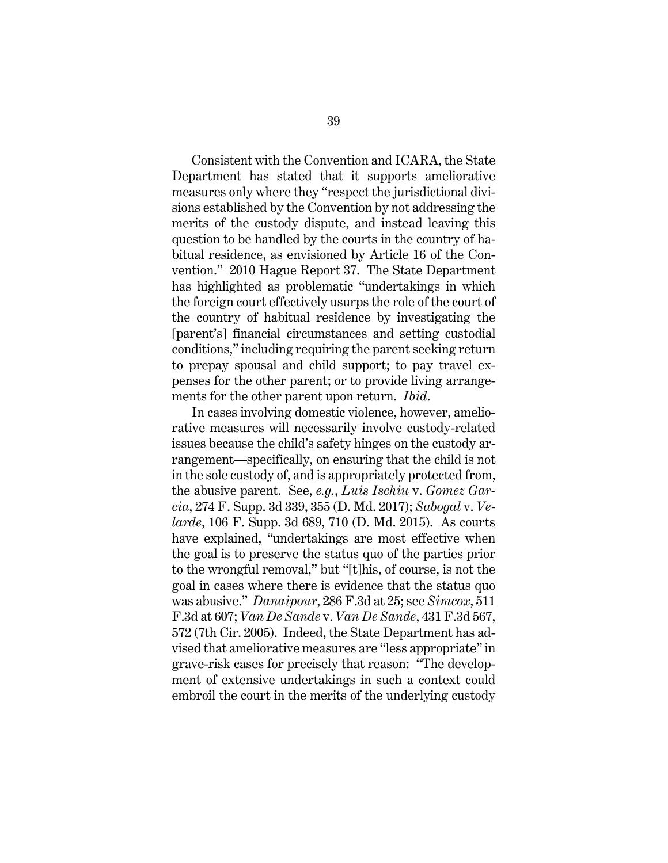Consistent with the Convention and ICARA, the State Department has stated that it supports ameliorative measures only where they "respect the jurisdictional divisions established by the Convention by not addressing the merits of the custody dispute, and instead leaving this question to be handled by the courts in the country of habitual residence, as envisioned by Article 16 of the Convention." 2010 Hague Report 37. The State Department has highlighted as problematic "undertakings in which the foreign court effectively usurps the role of the court of the country of habitual residence by investigating the [parent's] financial circumstances and setting custodial conditions," including requiring the parent seeking return to prepay spousal and child support; to pay travel expenses for the other parent; or to provide living arrangements for the other parent upon return. *Ibid*.

In cases involving domestic violence, however, ameliorative measures will necessarily involve custody-related issues because the child's safety hinges on the custody arrangement—specifically, on ensuring that the child is not in the sole custody of, and is appropriately protected from, the abusive parent. See, *e.g.*, *Luis Ischiu* v. *Gomez Garcia*, 274 F. Supp. 3d 339, 355 (D. Md. 2017); *Sabogal* v. *Velarde*, 106 F. Supp. 3d 689, 710 (D. Md. 2015). As courts have explained, "undertakings are most effective when the goal is to preserve the status quo of the parties prior to the wrongful removal," but "[t]his, of course, is not the goal in cases where there is evidence that the status quo was abusive." *Danaipour*, 286 F.3d at 25; see *Simcox*, 511 F.3d at 607; *Van De Sande* v. *Van De Sande*, 431 F.3d 567, 572 (7th Cir. 2005). Indeed, the State Department has advised that ameliorative measures are "less appropriate" in grave-risk cases for precisely that reason: "The development of extensive undertakings in such a context could embroil the court in the merits of the underlying custody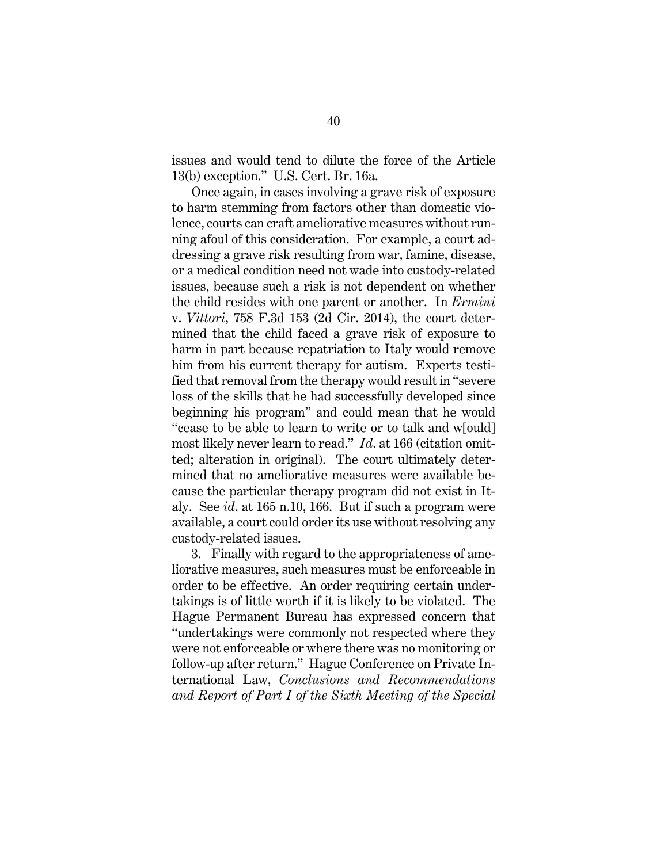issues and would tend to dilute the force of the Article 13(b) exception." U.S. Cert. Br. 16a.

Once again, in cases involving a grave risk of exposure to harm stemming from factors other than domestic violence, courts can craft ameliorative measures without running afoul of this consideration. For example, a court addressing a grave risk resulting from war, famine, disease, or a medical condition need not wade into custody-related issues, because such a risk is not dependent on whether the child resides with one parent or another. In *Ermini*  v. *Vittori*, 758 F.3d 153 (2d Cir. 2014), the court determined that the child faced a grave risk of exposure to harm in part because repatriation to Italy would remove him from his current therapy for autism. Experts testified that removal from the therapy would result in "severe loss of the skills that he had successfully developed since beginning his program" and could mean that he would "cease to be able to learn to write or to talk and w[ould] most likely never learn to read." *Id*. at 166 (citation omitted; alteration in original). The court ultimately determined that no ameliorative measures were available because the particular therapy program did not exist in Italy. See *id*. at 165 n.10, 166. But if such a program were available, a court could order its use without resolving any custody-related issues.

3. Finally with regard to the appropriateness of ameliorative measures, such measures must be enforceable in order to be effective. An order requiring certain undertakings is of little worth if it is likely to be violated. The Hague Permanent Bureau has expressed concern that "undertakings were commonly not respected where they were not enforceable or where there was no monitoring or follow-up after return." Hague Conference on Private International Law, *Conclusions and Recommendations and Report of Part I of the Sixth Meeting of the Special*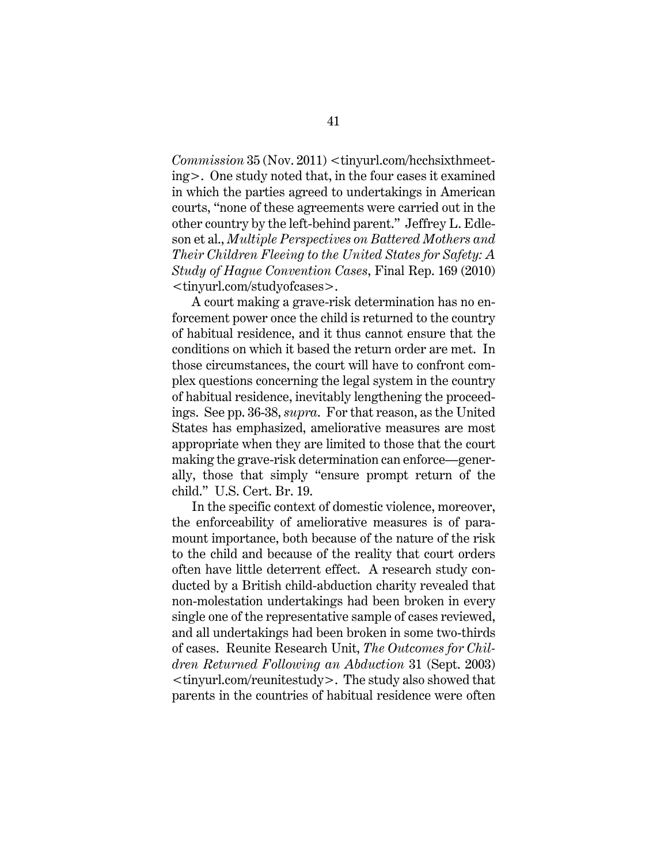*Commission* 35 (Nov. 2011) <tinyurl.com/hcchsixthmeeting>. One study noted that, in the four cases it examined in which the parties agreed to undertakings in American courts, "none of these agreements were carried out in the other country by the left-behind parent." Jeffrey L. Edleson et al., *Multiple Perspectives on Battered Mothers and Their Children Fleeing to the United States for Safety: A Study of Hague Convention Cases*, Final Rep. 169 (2010) <tinyurl.com/studyofcases>.

A court making a grave-risk determination has no enforcement power once the child is returned to the country of habitual residence, and it thus cannot ensure that the conditions on which it based the return order are met. In those circumstances, the court will have to confront complex questions concerning the legal system in the country of habitual residence, inevitably lengthening the proceedings. See pp. 36-38, *supra*.For that reason, as the United States has emphasized, ameliorative measures are most appropriate when they are limited to those that the court making the grave-risk determination can enforce—generally, those that simply "ensure prompt return of the child." U.S. Cert. Br. 19.

In the specific context of domestic violence, moreover, the enforceability of ameliorative measures is of paramount importance, both because of the nature of the risk to the child and because of the reality that court orders often have little deterrent effect. A research study conducted by a British child-abduction charity revealed that non-molestation undertakings had been broken in every single one of the representative sample of cases reviewed, and all undertakings had been broken in some two-thirds of cases. Reunite Research Unit, *The Outcomes for Children Returned Following an Abduction* 31 (Sept. 2003) <tinyurl.com/reunitestudy>. The study also showed that parents in the countries of habitual residence were often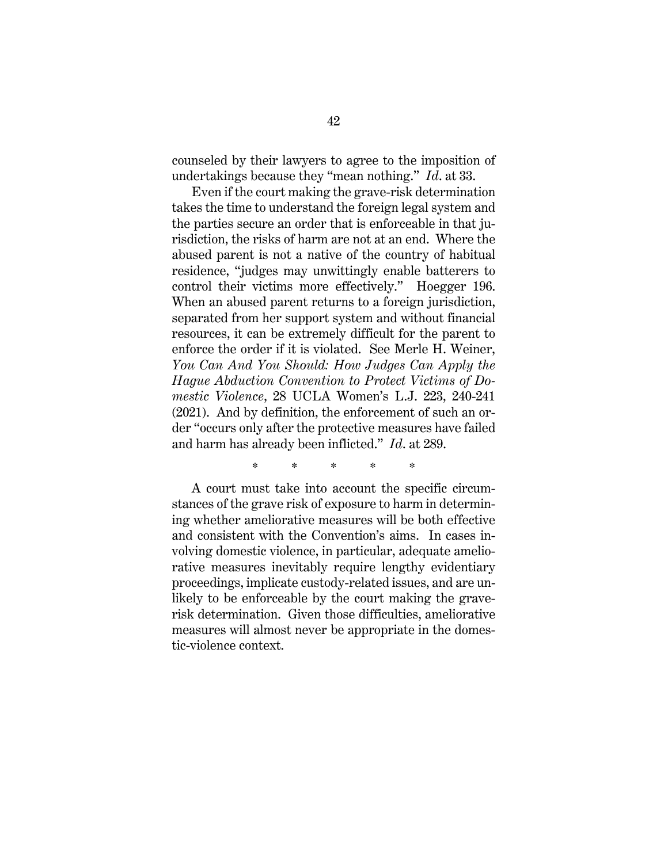counseled by their lawyers to agree to the imposition of undertakings because they "mean nothing." *Id*. at 33.

Even if the court making the grave-risk determination takes the time to understand the foreign legal system and the parties secure an order that is enforceable in that jurisdiction, the risks of harm are not at an end. Where the abused parent is not a native of the country of habitual residence, "judges may unwittingly enable batterers to control their victims more effectively." Hoegger 196. When an abused parent returns to a foreign jurisdiction, separated from her support system and without financial resources, it can be extremely difficult for the parent to enforce the order if it is violated. See Merle H. Weiner, *You Can And You Should: How Judges Can Apply the Hague Abduction Convention to Protect Victims of Domestic Violence*, 28 UCLA Women's L.J. 223, 240-241 (2021). And by definition, the enforcement of such an order "occurs only after the protective measures have failed and harm has already been inflicted." *Id*. at 289.

\* \* \* \* \*

A court must take into account the specific circumstances of the grave risk of exposure to harm in determining whether ameliorative measures will be both effective and consistent with the Convention's aims. In cases involving domestic violence, in particular, adequate ameliorative measures inevitably require lengthy evidentiary proceedings, implicate custody-related issues, and are unlikely to be enforceable by the court making the graverisk determination. Given those difficulties, ameliorative measures will almost never be appropriate in the domestic-violence context.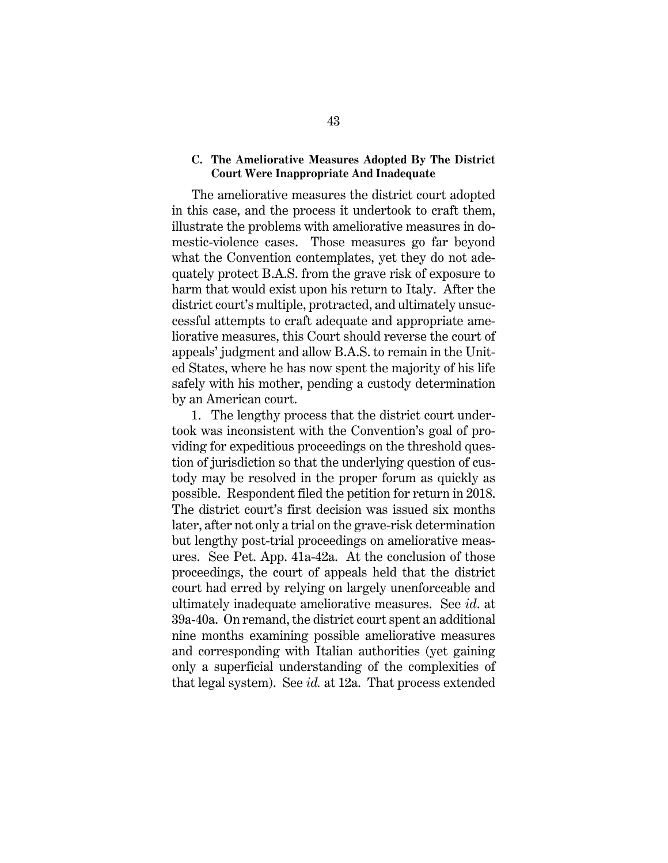# **C. The Ameliorative Measures Adopted By The District Court Were Inappropriate And Inadequate**

The ameliorative measures the district court adopted in this case, and the process it undertook to craft them, illustrate the problems with ameliorative measures in domestic-violence cases. Those measures go far beyond what the Convention contemplates, yet they do not adequately protect B.A.S. from the grave risk of exposure to harm that would exist upon his return to Italy. After the district court's multiple, protracted, and ultimately unsuccessful attempts to craft adequate and appropriate ameliorative measures, this Court should reverse the court of appeals' judgment and allow B.A.S. to remain in the United States, where he has now spent the majority of his life safely with his mother, pending a custody determination by an American court.

1. The lengthy process that the district court undertook was inconsistent with the Convention's goal of providing for expeditious proceedings on the threshold question of jurisdiction so that the underlying question of custody may be resolved in the proper forum as quickly as possible. Respondent filed the petition for return in 2018. The district court's first decision was issued six months later, after not only a trial on the grave-risk determination but lengthy post-trial proceedings on ameliorative measures. See Pet. App. 41a-42a. At the conclusion of those proceedings, the court of appeals held that the district court had erred by relying on largely unenforceable and ultimately inadequate ameliorative measures. See *id*. at 39a-40a. On remand, the district court spent an additional nine months examining possible ameliorative measures and corresponding with Italian authorities (yet gaining only a superficial understanding of the complexities of that legal system). See *id.* at 12a. That process extended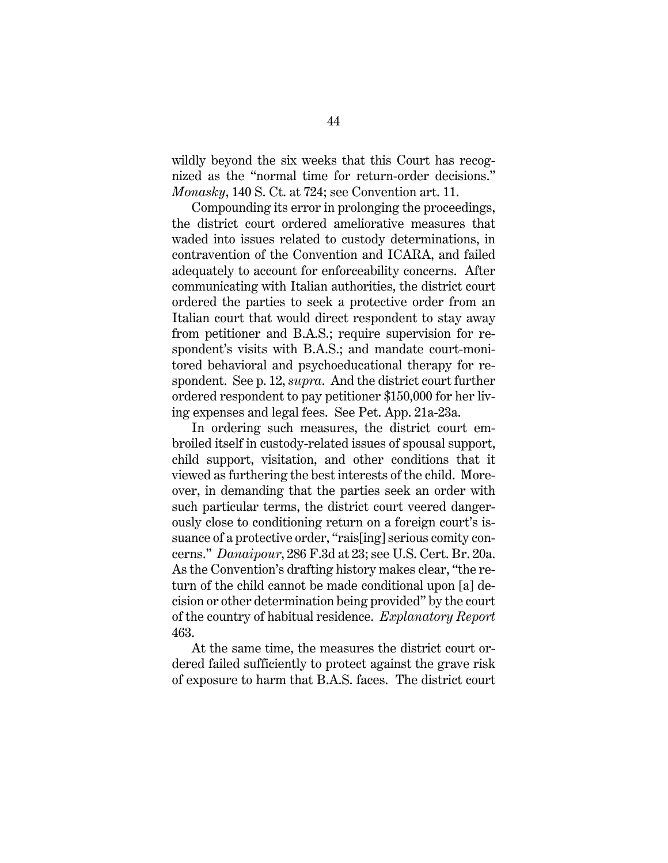wildly beyond the six weeks that this Court has recognized as the "normal time for return-order decisions." *Monasky*, 140 S. Ct. at 724; see Convention art. 11.

Compounding its error in prolonging the proceedings, the district court ordered ameliorative measures that waded into issues related to custody determinations, in contravention of the Convention and ICARA, and failed adequately to account for enforceability concerns. After communicating with Italian authorities, the district court ordered the parties to seek a protective order from an Italian court that would direct respondent to stay away from petitioner and B.A.S.; require supervision for respondent's visits with B.A.S.; and mandate court-monitored behavioral and psychoeducational therapy for respondent. See p. 12, *supra*. And the district court further ordered respondent to pay petitioner \$150,000 for her living expenses and legal fees. See Pet. App. 21a-23a.

In ordering such measures, the district court embroiled itself in custody-related issues of spousal support, child support, visitation, and other conditions that it viewed as furthering the best interests of the child. Moreover, in demanding that the parties seek an order with such particular terms, the district court veered dangerously close to conditioning return on a foreign court's issuance of a protective order, "rais[ing] serious comity concerns." *Danaipour*, 286 F.3d at 23; see U.S. Cert. Br. 20a. As the Convention's drafting history makes clear, "the return of the child cannot be made conditional upon [a] decision or other determination being provided" by the court of the country of habitual residence. *Explanatory Report* 463.

At the same time, the measures the district court ordered failed sufficiently to protect against the grave risk of exposure to harm that B.A.S. faces. The district court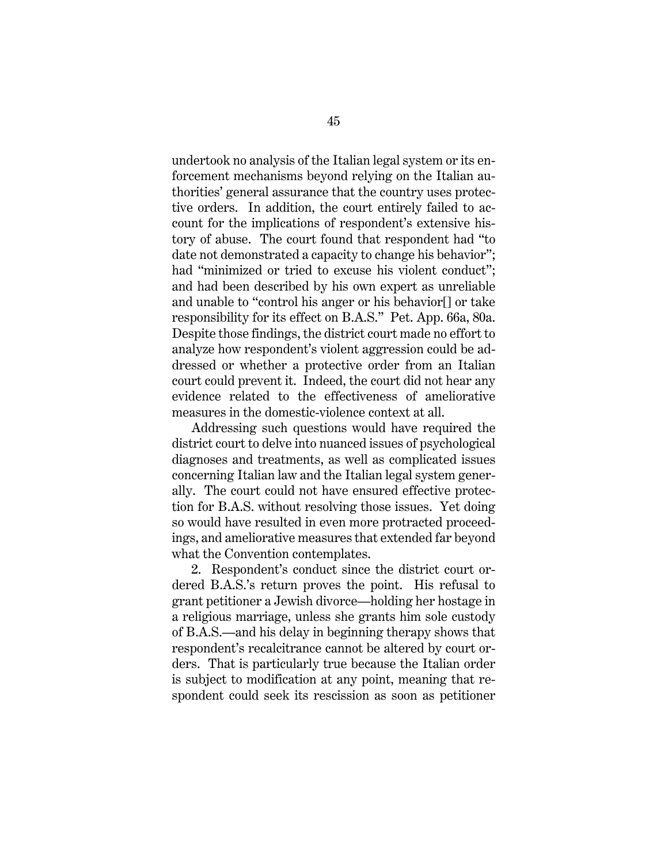undertook no analysis of the Italian legal system or its enforcement mechanisms beyond relying on the Italian authorities' general assurance that the country uses protective orders. In addition, the court entirely failed to account for the implications of respondent's extensive history of abuse. The court found that respondent had "to date not demonstrated a capacity to change his behavior"; had "minimized or tried to excuse his violent conduct"; and had been described by his own expert as unreliable and unable to "control his anger or his behavior[] or take responsibility for its effect on B.A.S." Pet. App. 66a, 80a. Despite those findings, the district court made no effort to analyze how respondent's violent aggression could be addressed or whether a protective order from an Italian court could prevent it. Indeed, the court did not hear any evidence related to the effectiveness of ameliorative measures in the domestic-violence context at all.

Addressing such questions would have required the district court to delve into nuanced issues of psychological diagnoses and treatments, as well as complicated issues concerning Italian law and the Italian legal system generally. The court could not have ensured effective protection for B.A.S. without resolving those issues. Yet doing so would have resulted in even more protracted proceedings, and ameliorative measures that extended far beyond what the Convention contemplates.

2. Respondent's conduct since the district court ordered B.A.S.'s return proves the point. His refusal to grant petitioner a Jewish divorce—holding her hostage in a religious marriage, unless she grants him sole custody of B.A.S.—and his delay in beginning therapy shows that respondent's recalcitrance cannot be altered by court orders. That is particularly true because the Italian order is subject to modification at any point, meaning that respondent could seek its rescission as soon as petitioner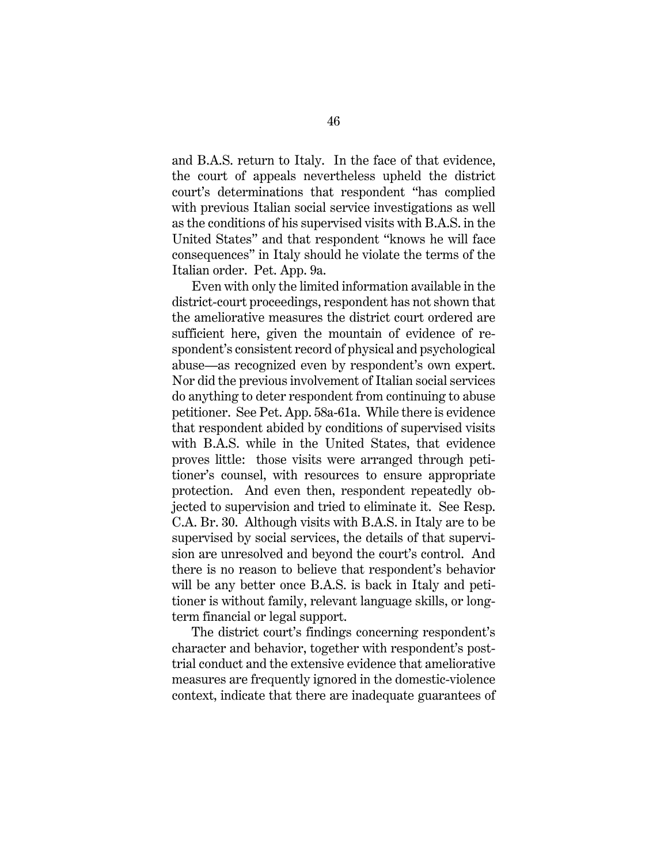and B.A.S. return to Italy. In the face of that evidence, the court of appeals nevertheless upheld the district court's determinations that respondent "has complied with previous Italian social service investigations as well as the conditions of his supervised visits with B.A.S. in the United States" and that respondent "knows he will face consequences" in Italy should he violate the terms of the Italian order. Pet. App. 9a.

Even with only the limited information available in the district-court proceedings, respondent has not shown that the ameliorative measures the district court ordered are sufficient here, given the mountain of evidence of respondent's consistent record of physical and psychological abuse—as recognized even by respondent's own expert. Nor did the previous involvement of Italian social services do anything to deter respondent from continuing to abuse petitioner. See Pet. App. 58a-61a. While there is evidence that respondent abided by conditions of supervised visits with B.A.S. while in the United States, that evidence proves little: those visits were arranged through petitioner's counsel, with resources to ensure appropriate protection. And even then, respondent repeatedly objected to supervision and tried to eliminate it. See Resp. C.A. Br. 30. Although visits with B.A.S. in Italy are to be supervised by social services, the details of that supervision are unresolved and beyond the court's control. And there is no reason to believe that respondent's behavior will be any better once B.A.S. is back in Italy and petitioner is without family, relevant language skills, or longterm financial or legal support.

The district court's findings concerning respondent's character and behavior, together with respondent's posttrial conduct and the extensive evidence that ameliorative measures are frequently ignored in the domestic-violence context, indicate that there are inadequate guarantees of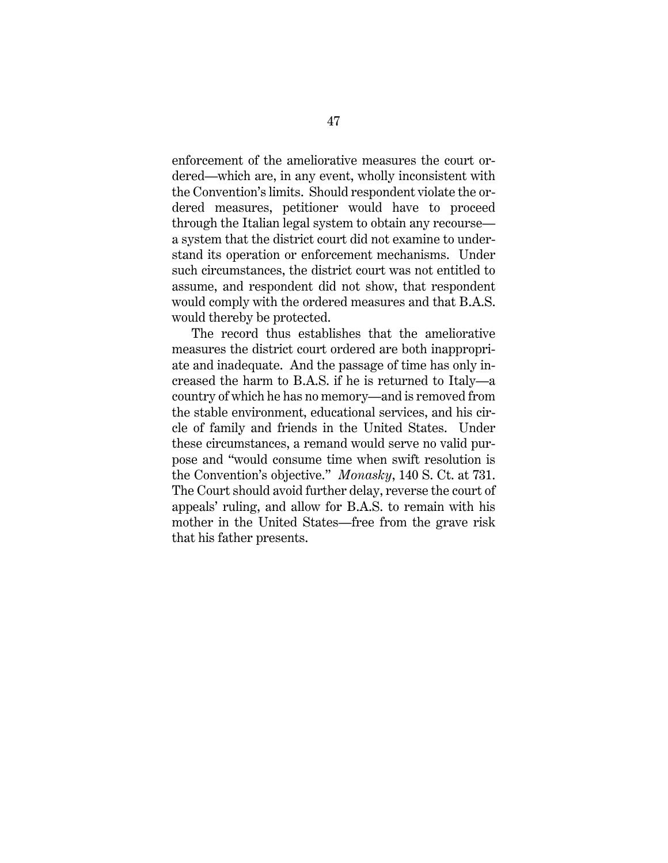enforcement of the ameliorative measures the court ordered—which are, in any event, wholly inconsistent with the Convention's limits. Should respondent violate the ordered measures, petitioner would have to proceed through the Italian legal system to obtain any recourse a system that the district court did not examine to understand its operation or enforcement mechanisms. Under such circumstances, the district court was not entitled to assume, and respondent did not show, that respondent would comply with the ordered measures and that B.A.S. would thereby be protected.

The record thus establishes that the ameliorative measures the district court ordered are both inappropriate and inadequate. And the passage of time has only increased the harm to B.A.S. if he is returned to Italy—a country of which he has no memory—and is removed from the stable environment, educational services, and his circle of family and friends in the United States. Under these circumstances, a remand would serve no valid purpose and "would consume time when swift resolution is the Convention's objective." *Monasky*, 140 S. Ct. at 731. The Court should avoid further delay, reverse the court of appeals' ruling, and allow for B.A.S. to remain with his mother in the United States—free from the grave risk that his father presents.